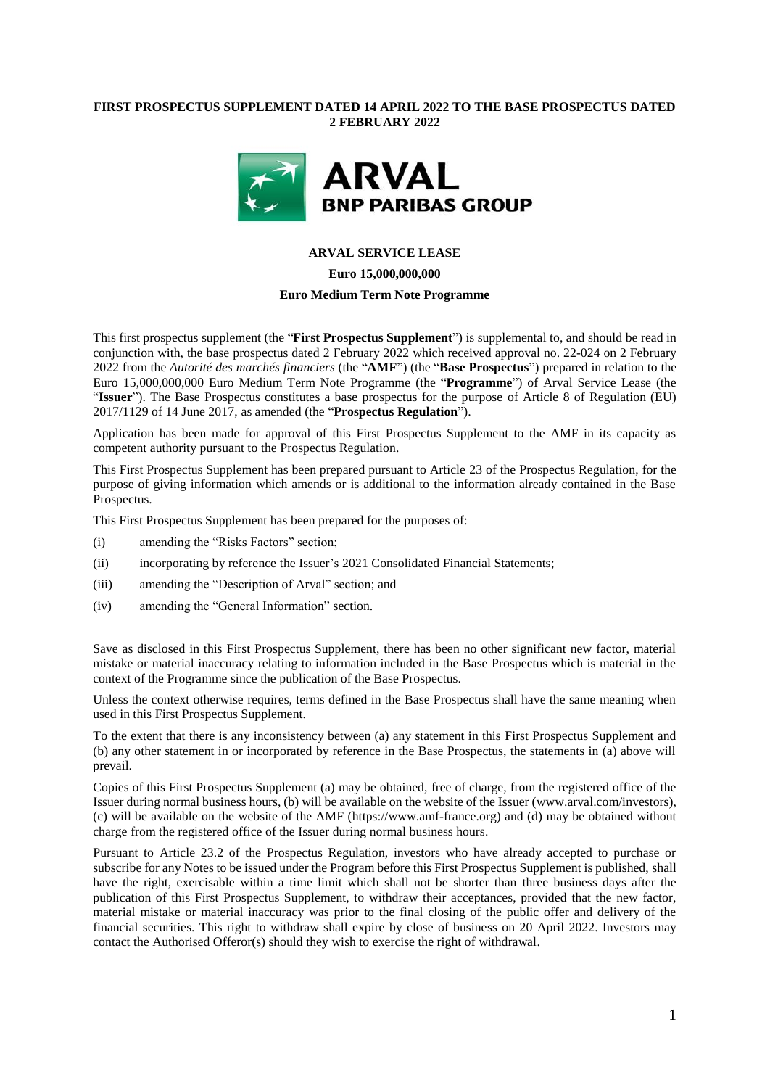## **FIRST PROSPECTUS SUPPLEMENT DATED 14 APRIL 2022 TO THE BASE PROSPECTUS DATED 2 FEBRUARY 2022**



### **ARVAL SERVICE LEASE**

**Euro 15,000,000,000**

## **Euro Medium Term Note Programme**

This first prospectus supplement (the "**First Prospectus Supplement**") is supplemental to, and should be read in conjunction with, the base prospectus dated 2 February 2022 which received approval no. 22-024 on 2 February 2022 from the *Autorité des marchés financiers* (the "**AMF**") (the "**Base Prospectus**") prepared in relation to the Euro 15,000,000,000 Euro Medium Term Note Programme (the "**Programme**") of Arval Service Lease (the "**Issuer**"). The Base Prospectus constitutes a base prospectus for the purpose of Article 8 of Regulation (EU) 2017/1129 of 14 June 2017, as amended (the "**Prospectus Regulation**").

Application has been made for approval of this First Prospectus Supplement to the AMF in its capacity as competent authority pursuant to the Prospectus Regulation.

This First Prospectus Supplement has been prepared pursuant to Article 23 of the Prospectus Regulation, for the purpose of giving information which amends or is additional to the information already contained in the Base Prospectus.

This First Prospectus Supplement has been prepared for the purposes of:

- (i) amending the "Risks Factors" section;
- (ii) incorporating by reference the Issuer's 2021 Consolidated Financial Statements;
- (iii) amending the "Description of Arval" section; and
- (iv) amending the "General Information" section.

Save as disclosed in this First Prospectus Supplement, there has been no other significant new factor, material mistake or material inaccuracy relating to information included in the Base Prospectus which is material in the context of the Programme since the publication of the Base Prospectus.

Unless the context otherwise requires, terms defined in the Base Prospectus shall have the same meaning when used in this First Prospectus Supplement.

To the extent that there is any inconsistency between (a) any statement in this First Prospectus Supplement and (b) any other statement in or incorporated by reference in the Base Prospectus, the statements in (a) above will prevail.

Copies of this First Prospectus Supplement (a) may be obtained, free of charge, from the registered office of the Issuer during normal business hours, (b) will be available on the website of the Issuer (www.arval.com/investors), (c) will be available on the website of the AMF [\(https://www.amf-france.org\)](https://www.amf-france.org/) and (d) may be obtained without charge from the registered office of the Issuer during normal business hours.

Pursuant to Article 23.2 of the Prospectus Regulation, investors who have already accepted to purchase or subscribe for any Notes to be issued under the Program before this First Prospectus Supplement is published, shall have the right, exercisable within a time limit which shall not be shorter than three business days after the publication of this First Prospectus Supplement, to withdraw their acceptances, provided that the new factor, material mistake or material inaccuracy was prior to the final closing of the public offer and delivery of the financial securities. This right to withdraw shall expire by close of business on 20 April 2022. Investors may contact the Authorised Offeror(s) should they wish to exercise the right of withdrawal.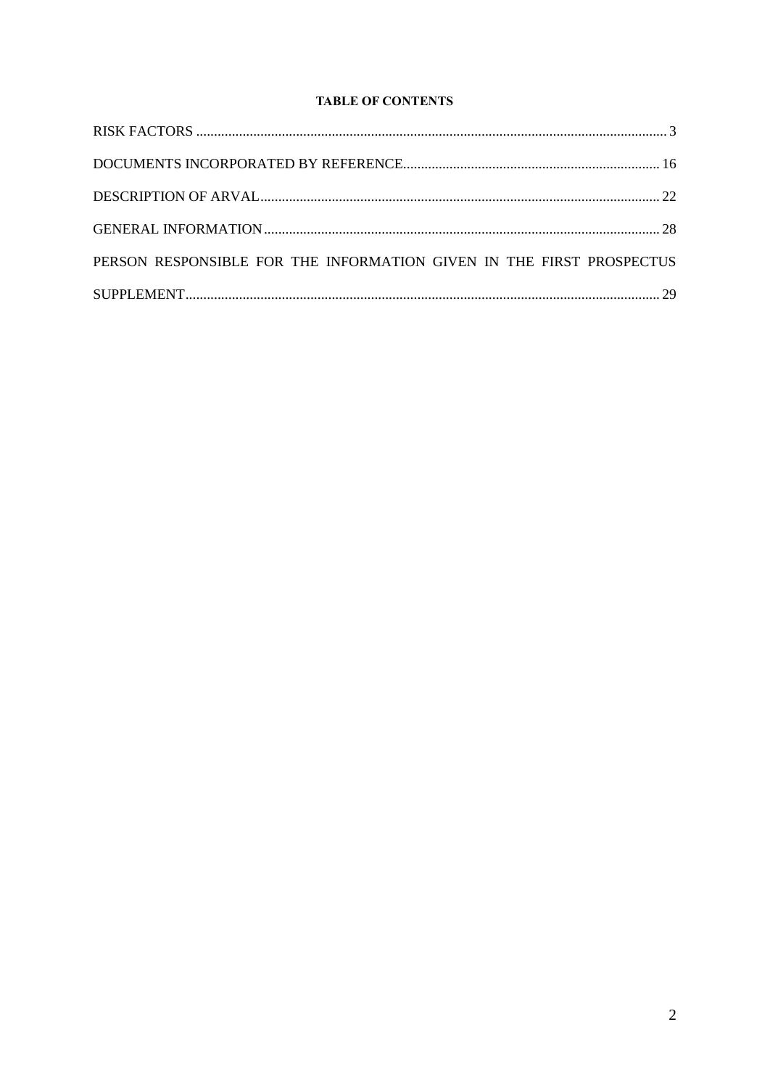# **TABLE OF CONTENTS**

| PERSON RESPONSIBLE FOR THE INFORMATION GIVEN IN THE FIRST PROSPECTUS |  |
|----------------------------------------------------------------------|--|
|                                                                      |  |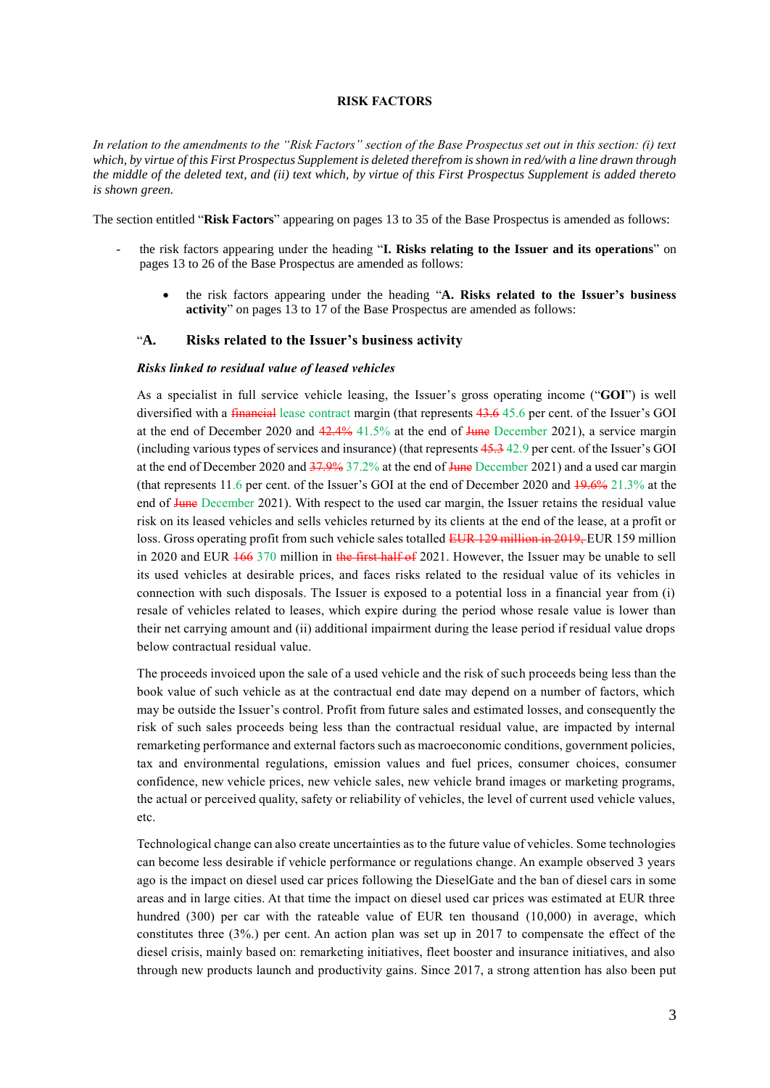#### **RISK FACTORS**

<span id="page-2-0"></span>*In relation to the amendments to the "Risk Factors" section of the Base Prospectus set out in this section: (i) text which, by virtue of this First Prospectus Supplement is deleted therefrom is shown in red/with a line drawn through the middle of the deleted text, and (ii) text which, by virtue of this First Prospectus Supplement is added thereto is shown green.*

The section entitled "**Risk Factors**" appearing on pages 13 to 35 of the Base Prospectus is amended as follows:

- the risk factors appearing under the heading "**I. Risks relating to the Issuer and its operations**" on pages 13 to 26 of the Base Prospectus are amended as follows:
	- the risk factors appearing under the heading "**A. Risks related to the Issuer's business activity**" on pages 13 to 17 of the Base Prospectus are amended as follows:

### "**A. Risks related to the Issuer's business activity**

#### *Risks linked to residual value of leased vehicles*

As a specialist in full service vehicle leasing, the Issuer's gross operating income ("**GOI**") is well diversified with a financial lease contract margin (that represents 43.6 45.6 per cent. of the Issuer's GOI at the end of December 2020 and  $42.4\%$  41.5% at the end of June December 2021), a service margin (including various types of services and insurance) (that represents 45.3 42.9 per cent. of the Issuer's GOI at the end of December 2020 and 37.9% 37.2% at the end of June December 2021) and a used car margin (that represents 11.6 per cent. of the Issuer's GOI at the end of December 2020 and 19.6% 21.3% at the end of June December 2021). With respect to the used car margin, the Issuer retains the residual value risk on its leased vehicles and sells vehicles returned by its clients at the end of the lease, at a profit or loss. Gross operating profit from such vehicle sales totalled EUR 129 million in 2019, EUR 159 million in 2020 and EUR  $\frac{166}{370}$  million in the first half of 2021. However, the Issuer may be unable to sell its used vehicles at desirable prices, and faces risks related to the residual value of its vehicles in connection with such disposals. The Issuer is exposed to a potential loss in a financial year from (i) resale of vehicles related to leases, which expire during the period whose resale value is lower than their net carrying amount and (ii) additional impairment during the lease period if residual value drops below contractual residual value.

The proceeds invoiced upon the sale of a used vehicle and the risk of such proceeds being less than the book value of such vehicle as at the contractual end date may depend on a number of factors, which may be outside the Issuer's control. Profit from future sales and estimated losses, and consequently the risk of such sales proceeds being less than the contractual residual value, are impacted by internal remarketing performance and external factors such as macroeconomic conditions, government policies, tax and environmental regulations, emission values and fuel prices, consumer choices, consumer confidence, new vehicle prices, new vehicle sales, new vehicle brand images or marketing programs, the actual or perceived quality, safety or reliability of vehicles, the level of current used vehicle values, etc.

Technological change can also create uncertainties as to the future value of vehicles. Some technologies can become less desirable if vehicle performance or regulations change. An example observed 3 years ago is the impact on diesel used car prices following the DieselGate and the ban of diesel cars in some areas and in large cities. At that time the impact on diesel used car prices was estimated at EUR three hundred (300) per car with the rateable value of EUR ten thousand (10,000) in average, which constitutes three (3%.) per cent. An action plan was set up in 2017 to compensate the effect of the diesel crisis, mainly based on: remarketing initiatives, fleet booster and insurance initiatives, and also through new products launch and productivity gains. Since 2017, a strong attention has also been put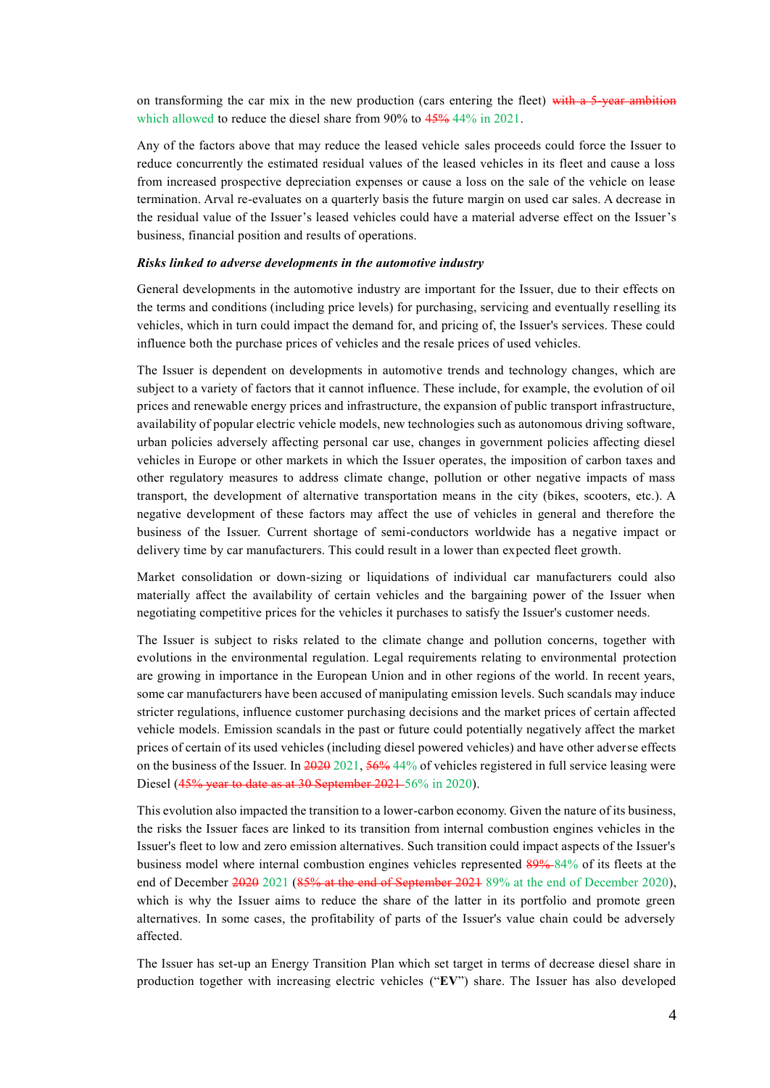on transforming the car mix in the new production (cars entering the fleet) with a 5-year ambition which allowed to reduce the diesel share from 90% to  $45\%$  44% in 2021.

Any of the factors above that may reduce the leased vehicle sales proceeds could force the Issuer to reduce concurrently the estimated residual values of the leased vehicles in its fleet and cause a loss from increased prospective depreciation expenses or cause a loss on the sale of the vehicle on lease termination. Arval re-evaluates on a quarterly basis the future margin on used car sales. A decrease in the residual value of the Issuer's leased vehicles could have a material adverse effect on the Issuer's business, financial position and results of operations.

#### *Risks linked to adverse developments in the automotive industry*

General developments in the automotive industry are important for the Issuer, due to their effects on the terms and conditions (including price levels) for purchasing, servicing and eventually r eselling its vehicles, which in turn could impact the demand for, and pricing of, the Issuer's services. These could influence both the purchase prices of vehicles and the resale prices of used vehicles.

The Issuer is dependent on developments in automotive trends and technology changes, which are subject to a variety of factors that it cannot influence. These include, for example, the evolution of oil prices and renewable energy prices and infrastructure, the expansion of public transport infrastructure, availability of popular electric vehicle models, new technologies such as autonomous driving software, urban policies adversely affecting personal car use, changes in government policies affecting diesel vehicles in Europe or other markets in which the Issuer operates, the imposition of carbon taxes and other regulatory measures to address climate change, pollution or other negative impacts of mass transport, the development of alternative transportation means in the city (bikes, scooters, etc.). A negative development of these factors may affect the use of vehicles in general and therefore the business of the Issuer. Current shortage of semi-conductors worldwide has a negative impact or delivery time by car manufacturers. This could result in a lower than expected fleet growth.

Market consolidation or down-sizing or liquidations of individual car manufacturers could also materially affect the availability of certain vehicles and the bargaining power of the Issuer when negotiating competitive prices for the vehicles it purchases to satisfy the Issuer's customer needs.

The Issuer is subject to risks related to the climate change and pollution concerns, together with evolutions in the environmental regulation. Legal requirements relating to environmental protection are growing in importance in the European Union and in other regions of the world. In recent years, some car manufacturers have been accused of manipulating emission levels. Such scandals may induce stricter regulations, influence customer purchasing decisions and the market prices of certain affected vehicle models. Emission scandals in the past or future could potentially negatively affect the market prices of certain of its used vehicles (including diesel powered vehicles) and have other adverse effects on the business of the Issuer. In 2020 2021, 56% 44% of vehicles registered in full service leasing were Diesel (45% year to date as at 30 September 2021-56% in 2020).

This evolution also impacted the transition to a lower-carbon economy. Given the nature of its business, the risks the Issuer faces are linked to its transition from internal combustion engines vehicles in the Issuer's fleet to low and zero emission alternatives. Such transition could impact aspects of the Issuer's business model where internal combustion engines vehicles represented 89% 84% of its fleets at the end of December 2020 2021 (85% at the end of September 2021 89% at the end of December 2020), which is why the Issuer aims to reduce the share of the latter in its portfolio and promote green alternatives. In some cases, the profitability of parts of the Issuer's value chain could be adversely affected.

The Issuer has set-up an Energy Transition Plan which set target in terms of decrease diesel share in production together with increasing electric vehicles ("**EV**") share. The Issuer has also developed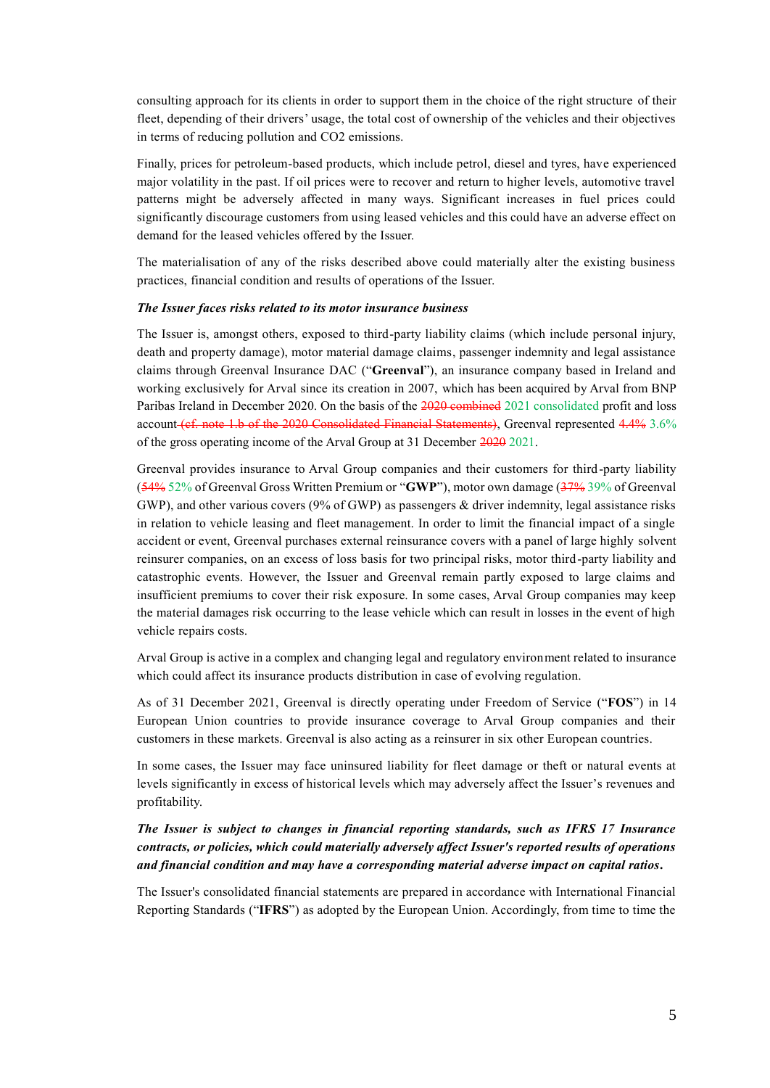consulting approach for its clients in order to support them in the choice of the right structure of their fleet, depending of their drivers' usage, the total cost of ownership of the vehicles and their objectives in terms of reducing pollution and CO2 emissions.

Finally, prices for petroleum-based products, which include petrol, diesel and tyres, have experienced major volatility in the past. If oil prices were to recover and return to higher levels, automotive travel patterns might be adversely affected in many ways. Significant increases in fuel prices could significantly discourage customers from using leased vehicles and this could have an adverse effect on demand for the leased vehicles offered by the Issuer.

The materialisation of any of the risks described above could materially alter the existing business practices, financial condition and results of operations of the Issuer.

#### *The Issuer faces risks related to its motor insurance business*

The Issuer is, amongst others, exposed to third-party liability claims (which include personal injury, death and property damage), motor material damage claims, passenger indemnity and legal assistance claims through Greenval Insurance DAC ("**Greenval**"), an insurance company based in Ireland and working exclusively for Arval since its creation in 2007, which has been acquired by Arval from BNP Paribas Ireland in December 2020. On the basis of the 2020 combined 2021 consolidated profit and loss account (cf. note 1.b of the 2020 Consolidated Financial Statements), Greenval represented 4.4% 3.6% of the gross operating income of the Arval Group at 31 December 2020 2021.

Greenval provides insurance to Arval Group companies and their customers for third-party liability (54% 52% of Greenval Gross Written Premium or "**GWP**"), motor own damage (37% 39% of Greenval GWP), and other various covers (9% of GWP) as passengers & driver indemnity, legal assistance risks in relation to vehicle leasing and fleet management. In order to limit the financial impact of a single accident or event, Greenval purchases external reinsurance covers with a panel of large highly solvent reinsurer companies, on an excess of loss basis for two principal risks, motor third-party liability and catastrophic events. However, the Issuer and Greenval remain partly exposed to large claims and insufficient premiums to cover their risk exposure. In some cases, Arval Group companies may keep the material damages risk occurring to the lease vehicle which can result in losses in the event of high vehicle repairs costs.

Arval Group is active in a complex and changing legal and regulatory environment related to insurance which could affect its insurance products distribution in case of evolving regulation.

As of 31 December 2021, Greenval is directly operating under Freedom of Service ("**FOS**") in 14 European Union countries to provide insurance coverage to Arval Group companies and their customers in these markets. Greenval is also acting as a reinsurer in six other European countries.

In some cases, the Issuer may face uninsured liability for fleet damage or theft or natural events at levels significantly in excess of historical levels which may adversely affect the Issuer's revenues and profitability.

# *The Issuer is subject to changes in financial reporting standards, such as IFRS 17 Insurance contracts, or policies, which could materially adversely affect Issuer's reported results of operations and financial condition and may have a corresponding material adverse impact on capital ratios.*

The Issuer's consolidated financial statements are prepared in accordance with International Financial Reporting Standards ("**IFRS**") as adopted by the European Union. Accordingly, from time to time the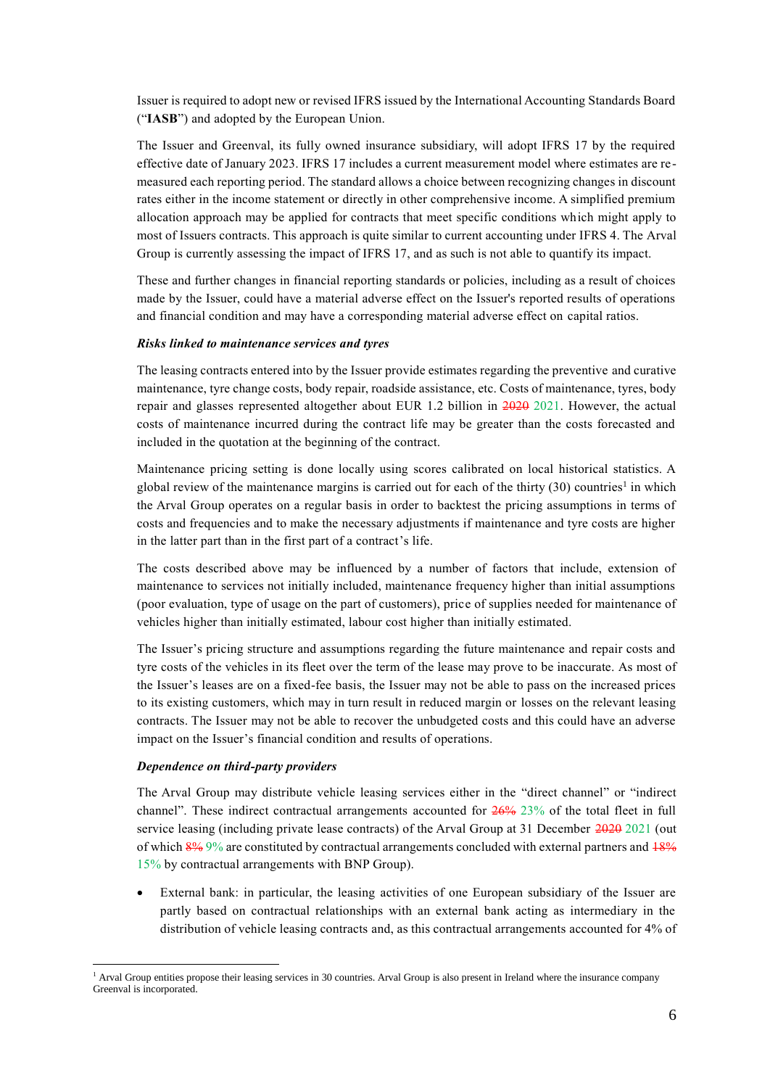Issuer is required to adopt new or revised IFRS issued by the International Accounting Standards Board ("**IASB**") and adopted by the European Union.

The Issuer and Greenval, its fully owned insurance subsidiary, will adopt IFRS 17 by the required effective date of January 2023. IFRS 17 includes a current measurement model where estimates are remeasured each reporting period. The standard allows a choice between recognizing changes in discount rates either in the income statement or directly in other comprehensive income. A simplified premium allocation approach may be applied for contracts that meet specific conditions which might apply to most of Issuers contracts. This approach is quite similar to current accounting under IFRS 4. The Arval Group is currently assessing the impact of IFRS 17, and as such is not able to quantify its impact.

These and further changes in financial reporting standards or policies, including as a result of choices made by the Issuer, could have a material adverse effect on the Issuer's reported results of operations and financial condition and may have a corresponding material adverse effect on capital ratios.

### *Risks linked to maintenance services and tyres*

The leasing contracts entered into by the Issuer provide estimates regarding the preventive and curative maintenance, tyre change costs, body repair, roadside assistance, etc. Costs of maintenance, tyres, body repair and glasses represented altogether about EUR 1.2 billion in 2020 2021. However, the actual costs of maintenance incurred during the contract life may be greater than the costs forecasted and included in the quotation at the beginning of the contract.

Maintenance pricing setting is done locally using scores calibrated on local historical statistics. A global review of the maintenance margins is carried out for each of the thirty (30) countries<sup>1</sup> in which the Arval Group operates on a regular basis in order to backtest the pricing assumptions in terms of costs and frequencies and to make the necessary adjustments if maintenance and tyre costs are higher in the latter part than in the first part of a contract's life.

The costs described above may be influenced by a number of factors that include, extension of maintenance to services not initially included, maintenance frequency higher than initial assumptions (poor evaluation, type of usage on the part of customers), price of supplies needed for maintenance of vehicles higher than initially estimated, labour cost higher than initially estimated.

The Issuer's pricing structure and assumptions regarding the future maintenance and repair costs and tyre costs of the vehicles in its fleet over the term of the lease may prove to be inaccurate. As most of the Issuer's leases are on a fixed-fee basis, the Issuer may not be able to pass on the increased prices to its existing customers, which may in turn result in reduced margin or losses on the relevant leasing contracts. The Issuer may not be able to recover the unbudgeted costs and this could have an adverse impact on the Issuer's financial condition and results of operations.

#### *Dependence on third-party providers*

-

The Arval Group may distribute vehicle leasing services either in the "direct channel" or "indirect channel". These indirect contractual arrangements accounted for 26% 23% of the total fleet in full service leasing (including private lease contracts) of the Arval Group at 31 December  $2020$  2021 (out of which 8% 9% are constituted by contractual arrangements concluded with external partners and 18% 15% by contractual arrangements with BNP Group).

 External bank: in particular, the leasing activities of one European subsidiary of the Issuer are partly based on contractual relationships with an external bank acting as intermediary in the distribution of vehicle leasing contracts and, as this contractual arrangements accounted for 4% of

<sup>&</sup>lt;sup>1</sup> Arval Group entities propose their leasing services in 30 countries. Arval Group is also present in Ireland where the insurance company Greenval is incorporated.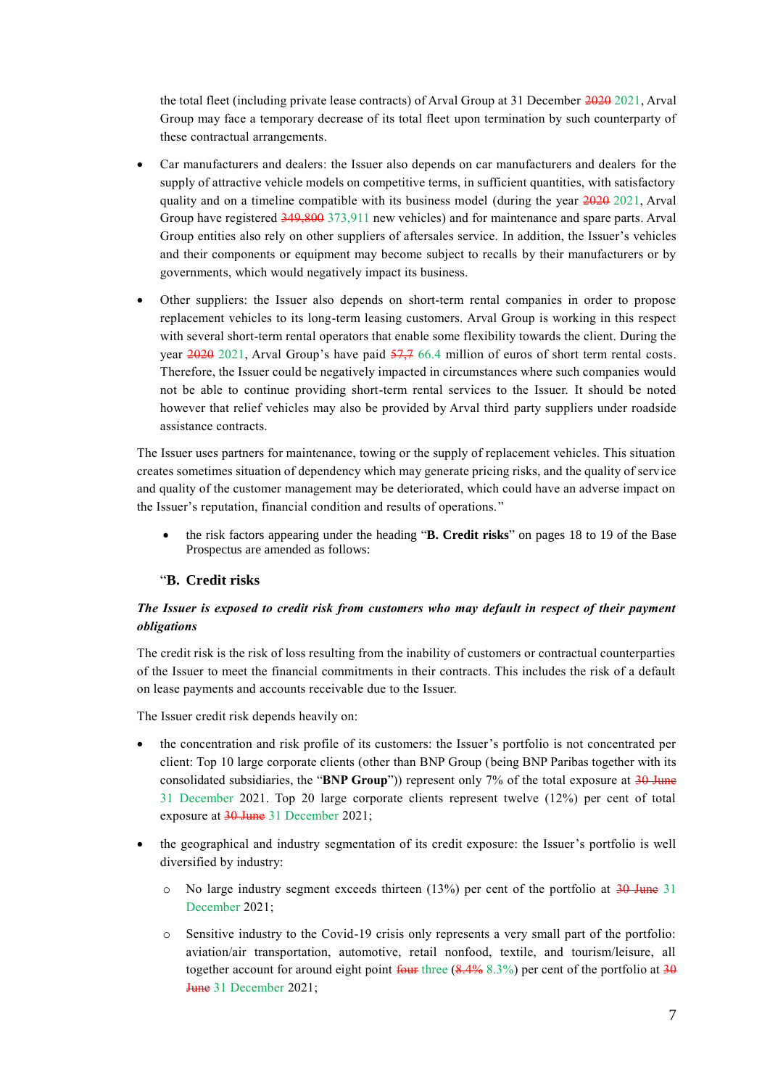the total fleet (including private lease contracts) of Arval Group at 31 December 2020 2021, Arval Group may face a temporary decrease of its total fleet upon termination by such counterparty of these contractual arrangements.

- Car manufacturers and dealers: the Issuer also depends on car manufacturers and dealers for the supply of attractive vehicle models on competitive terms, in sufficient quantities, with satisfactory quality and on a timeline compatible with its business model (during the year  $2020$  2021, Arval Group have registered 349,800 373,911 new vehicles) and for maintenance and spare parts. Arval Group entities also rely on other suppliers of aftersales service. In addition, the Issuer's vehicles and their components or equipment may become subject to recalls by their manufacturers or by governments, which would negatively impact its business.
- Other suppliers: the Issuer also depends on short-term rental companies in order to propose replacement vehicles to its long-term leasing customers. Arval Group is working in this respect with several short-term rental operators that enable some flexibility towards the client. During the year 2020 2021, Arval Group's have paid 57,7 66.4 million of euros of short term rental costs. Therefore, the Issuer could be negatively impacted in circumstances where such companies would not be able to continue providing short-term rental services to the Issuer. It should be noted however that relief vehicles may also be provided by Arval third party suppliers under roadside assistance contracts.

The Issuer uses partners for maintenance, towing or the supply of replacement vehicles. This situation creates sometimes situation of dependency which may generate pricing risks, and the quality of service and quality of the customer management may be deteriorated, which could have an adverse impact on the Issuer's reputation, financial condition and results of operations."

 the risk factors appearing under the heading "**B. Credit risks**" on pages 18 to 19 of the Base Prospectus are amended as follows:

## "**B. Credit risks**

## *The Issuer is exposed to credit risk from customers who may default in respect of their payment obligations*

The credit risk is the risk of loss resulting from the inability of customers or contractual counterparties of the Issuer to meet the financial commitments in their contracts. This includes the risk of a default on lease payments and accounts receivable due to the Issuer.

The Issuer credit risk depends heavily on:

- the concentration and risk profile of its customers: the Issuer's portfolio is not concentrated per client: Top 10 large corporate clients (other than BNP Group (being BNP Paribas together with its consolidated subsidiaries, the "**BNP Group**")) represent only 7% of the total exposure at 30 June 31 December 2021. Top 20 large corporate clients represent twelve (12%) per cent of total exposure at 30 June 31 December 2021;
- the geographical and industry segmentation of its credit exposure: the Issuer's portfolio is well diversified by industry:
	- $\circ$  No large industry segment exceeds thirteen (13%) per cent of the portfolio at 30 June 31 December 2021;
	- o Sensitive industry to the Covid-19 crisis only represents a very small part of the portfolio: aviation/air transportation, automotive, retail nonfood, textile, and tourism/leisure, all together account for around eight point  $f_{\text{out}}$  three  $(8.4\% 8.3\%)$  per cent of the portfolio at  $30$ June 31 December 2021;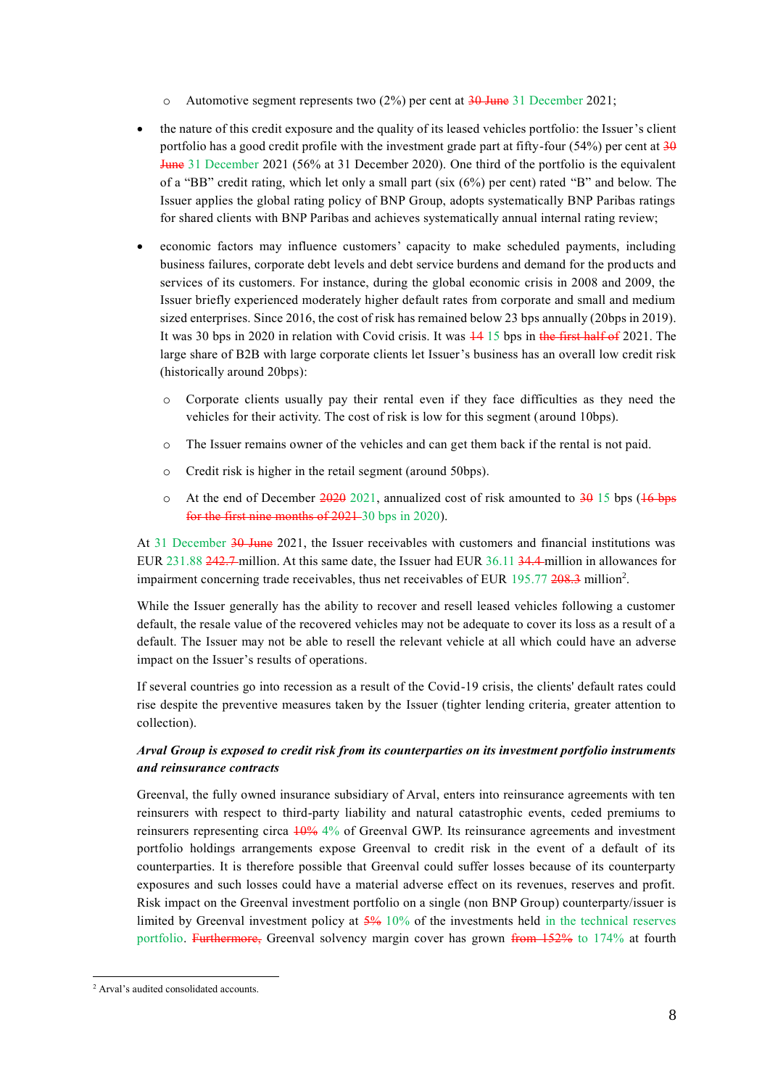$\circ$  Automotive segment represents two (2%) per cent at 30 June 31 December 2021;

- the nature of this credit exposure and the quality of its leased vehicles portfolio: the Issuer's client portfolio has a good credit profile with the investment grade part at fifty-four (54%) per cent at 30 June 31 December 2021 (56% at 31 December 2020). One third of the portfolio is the equivalent of a "BB" credit rating, which let only a small part (six (6%) per cent) rated "B" and below. The Issuer applies the global rating policy of BNP Group, adopts systematically BNP Paribas ratings for shared clients with BNP Paribas and achieves systematically annual internal rating review;
- economic factors may influence customers' capacity to make scheduled payments, including business failures, corporate debt levels and debt service burdens and demand for the products and services of its customers. For instance, during the global economic crisis in 2008 and 2009, the Issuer briefly experienced moderately higher default rates from corporate and small and medium sized enterprises. Since 2016, the cost of risk has remained below 23 bps annually (20bps in 2019). It was 30 bps in 2020 in relation with Covid crisis. It was 14 15 bps in the first half of 2021. The large share of B2B with large corporate clients let Issuer's business has an overall low credit risk (historically around 20bps):
	- o Corporate clients usually pay their rental even if they face difficulties as they need the vehicles for their activity. The cost of risk is low for this segment (around 10bps).
	- o The Issuer remains owner of the vehicles and can get them back if the rental is not paid.
	- o Credit risk is higher in the retail segment (around 50bps).
	- $\circ$  At the end of December 2020 2021, annualized cost of risk amounted to 30 15 bps (16 bps for the first nine months of 2021-30 bps in 2020).

At 31 December 30 June 2021, the Issuer receivables with customers and financial institutions was EUR 231.88 242.7 million. At this same date, the Issuer had EUR 36.11 34.4 million in allowances for impairment concerning trade receivables, thus net receivables of EUR 195.77 208.3 million<sup>2</sup>.

While the Issuer generally has the ability to recover and resell leased vehicles following a customer default, the resale value of the recovered vehicles may not be adequate to cover its loss as a result of a default. The Issuer may not be able to resell the relevant vehicle at all which could have an adverse impact on the Issuer's results of operations.

If several countries go into recession as a result of the Covid-19 crisis, the clients' default rates could rise despite the preventive measures taken by the Issuer (tighter lending criteria, greater attention to collection).

## *Arval Group is exposed to credit risk from its counterparties on its investment portfolio instruments and reinsurance contracts*

Greenval, the fully owned insurance subsidiary of Arval, enters into reinsurance agreements with ten reinsurers with respect to third-party liability and natural catastrophic events, ceded premiums to reinsurers representing circa 10% 4% of Greenval GWP. Its reinsurance agreements and investment portfolio holdings arrangements expose Greenval to credit risk in the event of a default of its counterparties. It is therefore possible that Greenval could suffer losses because of its counterparty exposures and such losses could have a material adverse effect on its revenues, reserves and profit. Risk impact on the Greenval investment portfolio on a single (non BNP Group) counterparty/issuer is limited by Greenval investment policy at 5% 10% of the investments held in the technical reserves portfolio. Furthermore, Greenval solvency margin cover has grown from 152% to 174% at fourth

-

<sup>2</sup> Arval's audited consolidated accounts.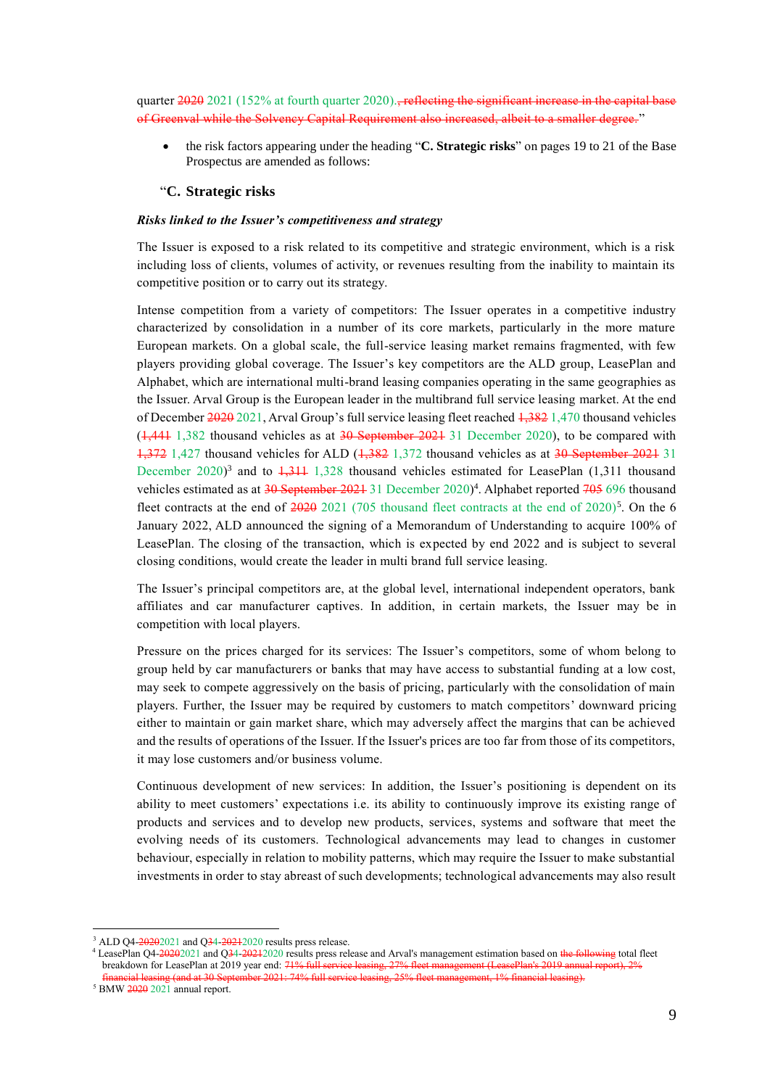quarter 2020 2021 (152% at fourth quarter 2020)., reflecting the significant increase in the capital base of Greenval while the Solvency Capital Requirement also increased, albeit to a smaller degree. "

 the risk factors appearing under the heading "**C. Strategic risks**" on pages 19 to 21 of the Base Prospectus are amended as follows:

## "**C. Strategic risks**

#### *Risks linked to the Issuer's competitiveness and strategy*

The Issuer is exposed to a risk related to its competitive and strategic environment, which is a risk including loss of clients, volumes of activity, or revenues resulting from the inability to maintain its competitive position or to carry out its strategy.

Intense competition from a variety of competitors: The Issuer operates in a competitive industry characterized by consolidation in a number of its core markets, particularly in the more mature European markets. On a global scale, the full-service leasing market remains fragmented, with few players providing global coverage. The Issuer's key competitors are the ALD group, LeasePlan and Alphabet, which are international multi-brand leasing companies operating in the same geographies as the Issuer. Arval Group is the European leader in the multibrand full service leasing market. At the end of December 2020 2021, Arval Group's full service leasing fleet reached 1,382 1,470 thousand vehicles  $(1,441, 1,382)$  thousand vehicles as at  $30$  September 2021 31 December 2020), to be compared with 1,372 1,427 thousand vehicles for ALD (1,382 1,372 thousand vehicles as at 30 September 2021 31 December 2020)<sup>3</sup> and to  $\frac{1}{3}$  1,328 thousand vehicles estimated for LeasePlan (1,311 thousand vehicles estimated as at 30 September 2021 31 December 2020)<sup>4</sup>. Alphabet reported 705 696 thousand fleet contracts at the end of  $\frac{2020}{2021}$  (705 thousand fleet contracts at the end of 2020)<sup>5</sup>. On the 6 January 2022, ALD announced the signing of a Memorandum of Understanding to acquire 100% of LeasePlan. The closing of the transaction, which is expected by end 2022 and is subject to several closing conditions, would create the leader in multi brand full service leasing.

The Issuer's principal competitors are, at the global level, international independent operators, bank affiliates and car manufacturer captives. In addition, in certain markets, the Issuer may be in competition with local players.

Pressure on the prices charged for its services: The Issuer's competitors, some of whom belong to group held by car manufacturers or banks that may have access to substantial funding at a low cost, may seek to compete aggressively on the basis of pricing, particularly with the consolidation of main players. Further, the Issuer may be required by customers to match competitors' downward pricing either to maintain or gain market share, which may adversely affect the margins that can be achieved and the results of operations of the Issuer. If the Issuer's prices are too far from those of its competitors, it may lose customers and/or business volume.

Continuous development of new services: In addition, the Issuer's positioning is dependent on its ability to meet customers' expectations i.e. its ability to continuously improve its existing range of products and services and to develop new products, services, systems and software that meet the evolving needs of its customers. Technological advancements may lead to changes in customer behaviour, especially in relation to mobility patterns, which may require the Issuer to make substantial investments in order to stay abreast of such developments; technological advancements may also result

<sup>&</sup>lt;sup>3</sup> ALD Q4-20202021 and Q34-20212020 results press release.

<sup>&</sup>lt;sup>4</sup> LeasePlan Q4-20202021 and Q34-20212020 results press release and Arval's management estimation based on the following total fleet breakdown for LeasePlan at 2019 year end:  $71\%$  full financial leasing (and at 30 September 2021: 74% full service leasing, 25% fleet management, 1% financial leasing).

 $5$  BMW  $2020$  2021 annual report.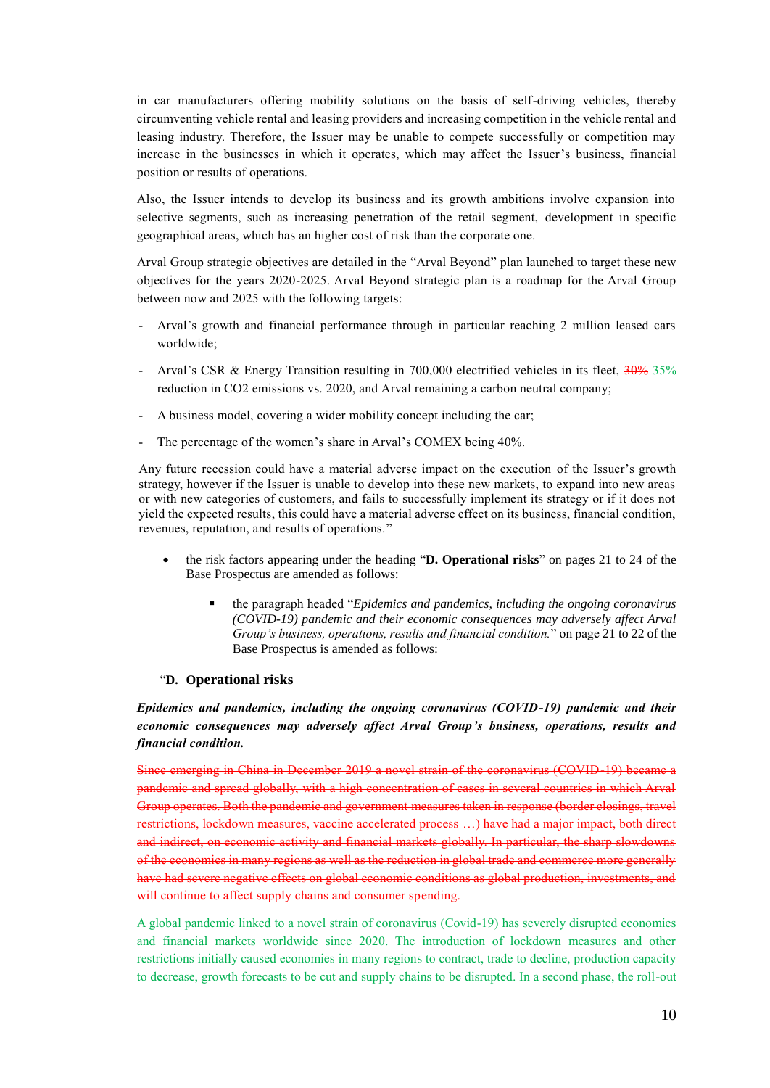in car manufacturers offering mobility solutions on the basis of self-driving vehicles, thereby circumventing vehicle rental and leasing providers and increasing competition in the vehicle rental and leasing industry. Therefore, the Issuer may be unable to compete successfully or competition may increase in the businesses in which it operates, which may affect the Issuer's business, financial position or results of operations.

Also, the Issuer intends to develop its business and its growth ambitions involve expansion into selective segments, such as increasing penetration of the retail segment, development in specific geographical areas, which has an higher cost of risk than the corporate one.

Arval Group strategic objectives are detailed in the "Arval Beyond" plan launched to target these new objectives for the years 2020-2025. Arval Beyond strategic plan is a roadmap for the Arval Group between now and 2025 with the following targets:

- Arval's growth and financial performance through in particular reaching 2 million leased cars worldwide;
- Arval's CSR & Energy Transition resulting in 700,000 electrified vehicles in its fleet, 30% 35% reduction in CO2 emissions vs. 2020, and Arval remaining a carbon neutral company;
- A business model, covering a wider mobility concept including the car;
- The percentage of the women's share in Arval's COMEX being 40%.

Any future recession could have a material adverse impact on the execution of the Issuer's growth strategy, however if the Issuer is unable to develop into these new markets, to expand into new areas or with new categories of customers, and fails to successfully implement its strategy or if it does not yield the expected results, this could have a material adverse effect on its business, financial condition, revenues, reputation, and results of operations."

- the risk factors appearing under the heading "**D. Operational risks**" on pages 21 to 24 of the Base Prospectus are amended as follows:
	- the paragraph headed "*Epidemics and pandemics, including the ongoing coronavirus (COVID-19) pandemic and their economic consequences may adversely affect Arval Group's business, operations, results and financial condition.*" on page 21 to 22 of the Base Prospectus is amended as follows:

### "**D. Operational risks**

*Epidemics and pandemics, including the ongoing coronavirus (COVID-19) pandemic and their economic consequences may adversely affect Arval Group's business, operations, results and financial condition.*

Since emerging in China in December 2019 a novel strain of the coronavirus (COVID-19) became a pandemic and spread globally, with a high concentration of cases in several countries in which Arval Group operates. Both the pandemic and government measures taken in response (border closings, travel restrictions, lockdown measures, vaccine accelerated process …) have had a major impact, both direct and indirect, on economic activity and financial markets globally. In particular, the sharp slowdowns of the economies in many regions as well as the reduction in global trade and commerce more generally have had severe negative effects on global economic conditions as global production, investments, and will continue to affect supply chains and consumer spending.

A global pandemic linked to a novel strain of coronavirus (Covid-19) has severely disrupted economies and financial markets worldwide since 2020. The introduction of lockdown measures and other restrictions initially caused economies in many regions to contract, trade to decline, production capacity to decrease, growth forecasts to be cut and supply chains to be disrupted. In a second phase, the roll-out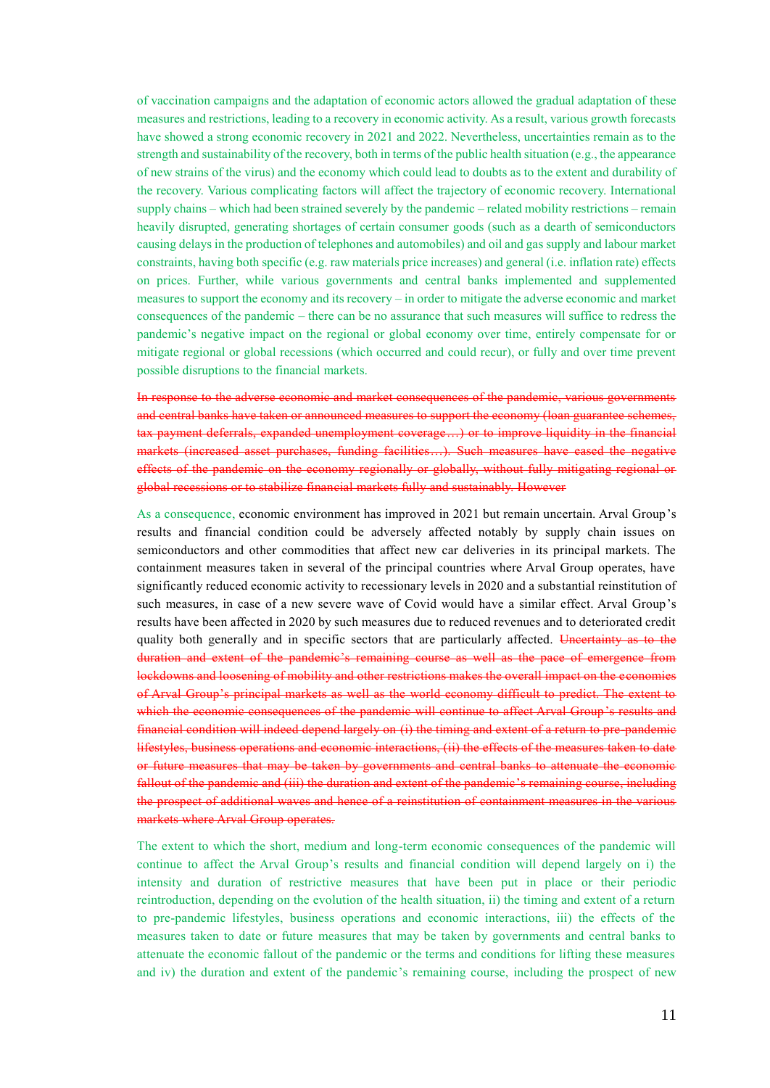of vaccination campaigns and the adaptation of economic actors allowed the gradual adaptation of these measures and restrictions, leading to a recovery in economic activity. As a result, various growth forecasts have showed a strong economic recovery in 2021 and 2022. Nevertheless, uncertainties remain as to the strength and sustainability of the recovery, both in terms of the public health situation (e.g., the appearance of new strains of the virus) and the economy which could lead to doubts as to the extent and durability of the recovery. Various complicating factors will affect the trajectory of economic recovery. International supply chains – which had been strained severely by the pandemic – related mobility restrictions – remain heavily disrupted, generating shortages of certain consumer goods (such as a dearth of semiconductors causing delays in the production of telephones and automobiles) and oil and gas supply and labour market constraints, having both specific (e.g. raw materials price increases) and general (i.e. inflation rate) effects on prices. Further, while various governments and central banks implemented and supplemented measures to support the economy and its recovery – in order to mitigate the adverse economic and market consequences of the pandemic – there can be no assurance that such measures will suffice to redress the pandemic's negative impact on the regional or global economy over time, entirely compensate for or mitigate regional or global recessions (which occurred and could recur), or fully and over time prevent possible disruptions to the financial markets.

In response to the adverse economic and market consequences of the pandemic, various governments and central banks have taken or announced measures to support the economy (loan guarantee schemes, tax payment deferrals, expanded unemployment coverage…) or to improve liquidity in the financial markets (increased asset purchases, funding facilities…). Such measures have eased the negative effects of the pandemic on the economy regionally or globally, without fully mitigating regional or global recessions or to stabilize financial markets fully and sustainably. However

As a consequence, economic environment has improved in 2021 but remain uncertain. Arval Group's results and financial condition could be adversely affected notably by supply chain issues on semiconductors and other commodities that affect new car deliveries in its principal markets. The containment measures taken in several of the principal countries where Arval Group operates, have significantly reduced economic activity to recessionary levels in 2020 and a substantial reinstitution of such measures, in case of a new severe wave of Covid would have a similar effect. Arval Group's results have been affected in 2020 by such measures due to reduced revenues and to deteriorated credit quality both generally and in specific sectors that are particularly affected. Uncertainty as to the duration and extent of the pandemic's remaining course as well as the pace of emergence from lockdowns and loosening of mobility and other restrictions makes the overall impact on the economies of Arval Group's principal markets as well as the world economy difficult to predict. The extent to which the economic consequences of the pandemic will continue to affect Arval Group's results and financial condition will indeed depend largely on (i) the timing and extent of a return to pre-pandemic lifestyles, business operations and economic interactions, (ii) the effects of the measures taken to date or future measures that may be taken by governments and central banks to attenuate the economic fallout of the pandemic and (iii) the duration and extent of the pandemic's remaining course, including the prospect of additional waves and hence of a reinstitution of containment measures in the various markets where Arval Group operates.

The extent to which the short, medium and long-term economic consequences of the pandemic will continue to affect the Arval Group's results and financial condition will depend largely on i) the intensity and duration of restrictive measures that have been put in place or their periodic reintroduction, depending on the evolution of the health situation, ii) the timing and extent of a return to pre-pandemic lifestyles, business operations and economic interactions, iii) the effects of the measures taken to date or future measures that may be taken by governments and central banks to attenuate the economic fallout of the pandemic or the terms and conditions for lifting these measures and iv) the duration and extent of the pandemic's remaining course, including the prospect of new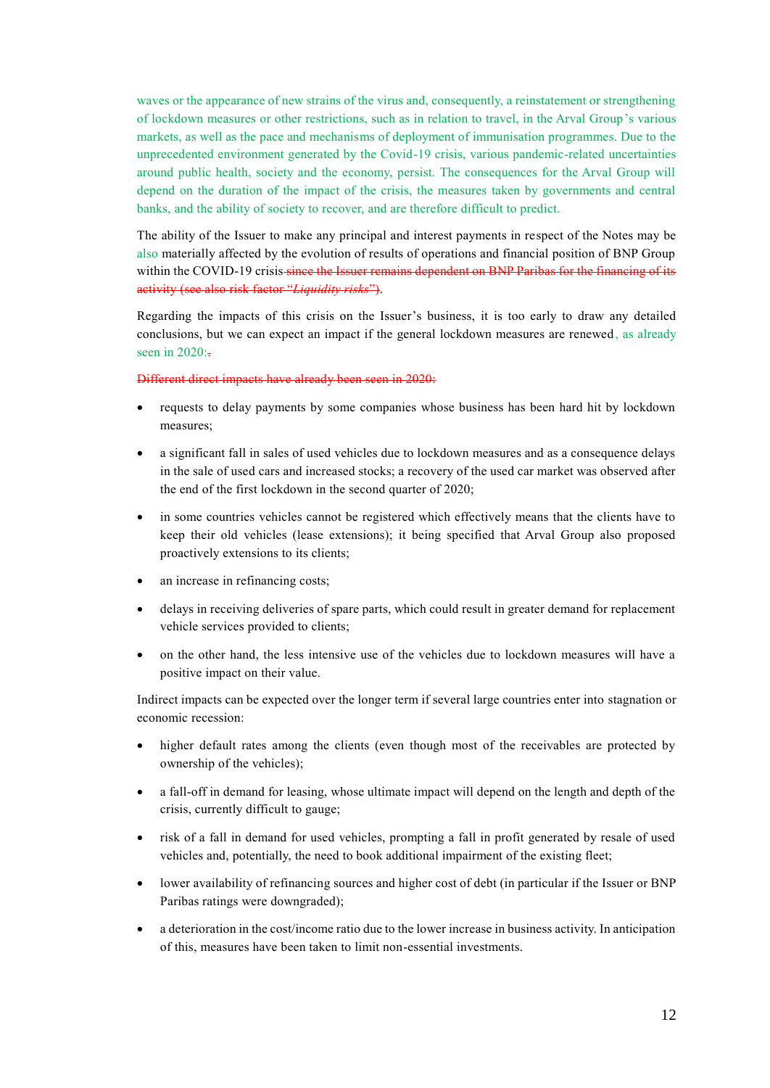waves or the appearance of new strains of the virus and, consequently, a reinstatement or strengthening of lockdown measures or other restrictions, such as in relation to travel, in the Arval Group's various markets, as well as the pace and mechanisms of deployment of immunisation programmes. Due to the unprecedented environment generated by the Covid-19 crisis, various pandemic-related uncertainties around public health, society and the economy, persist. The consequences for the Arval Group will depend on the duration of the impact of the crisis, the measures taken by governments and central banks, and the ability of society to recover, and are therefore difficult to predict.

The ability of the Issuer to make any principal and interest payments in respect of the Notes may be also materially affected by the evolution of results of operations and financial position of BNP Group within the COVID-19 crisis since the Issuer remains dependent on BNP Paribas for the financing of its activity (see also risk factor "*Liquidity risks*").

Regarding the impacts of this crisis on the Issuer's business, it is too early to draw any detailed conclusions, but we can expect an impact if the general lockdown measures are renewed, as already seen in  $2020$ :

#### Different direct impacts have already been seen in 2020:

- requests to delay payments by some companies whose business has been hard hit by lockdown measures;
- a significant fall in sales of used vehicles due to lockdown measures and as a consequence delays in the sale of used cars and increased stocks; a recovery of the used car market was observed after the end of the first lockdown in the second quarter of 2020;
- in some countries vehicles cannot be registered which effectively means that the clients have to keep their old vehicles (lease extensions); it being specified that Arval Group also proposed proactively extensions to its clients;
- an increase in refinancing costs;
- delays in receiving deliveries of spare parts, which could result in greater demand for replacement vehicle services provided to clients;
- on the other hand, the less intensive use of the vehicles due to lockdown measures will have a positive impact on their value.

Indirect impacts can be expected over the longer term if several large countries enter into stagnation or economic recession:

- higher default rates among the clients (even though most of the receivables are protected by ownership of the vehicles);
- a fall-off in demand for leasing, whose ultimate impact will depend on the length and depth of the crisis, currently difficult to gauge;
- risk of a fall in demand for used vehicles, prompting a fall in profit generated by resale of used vehicles and, potentially, the need to book additional impairment of the existing fleet;
- lower availability of refinancing sources and higher cost of debt (in particular if the Issuer or BNP Paribas ratings were downgraded);
- a deterioration in the cost/income ratio due to the lower increase in business activity. In anticipation of this, measures have been taken to limit non-essential investments.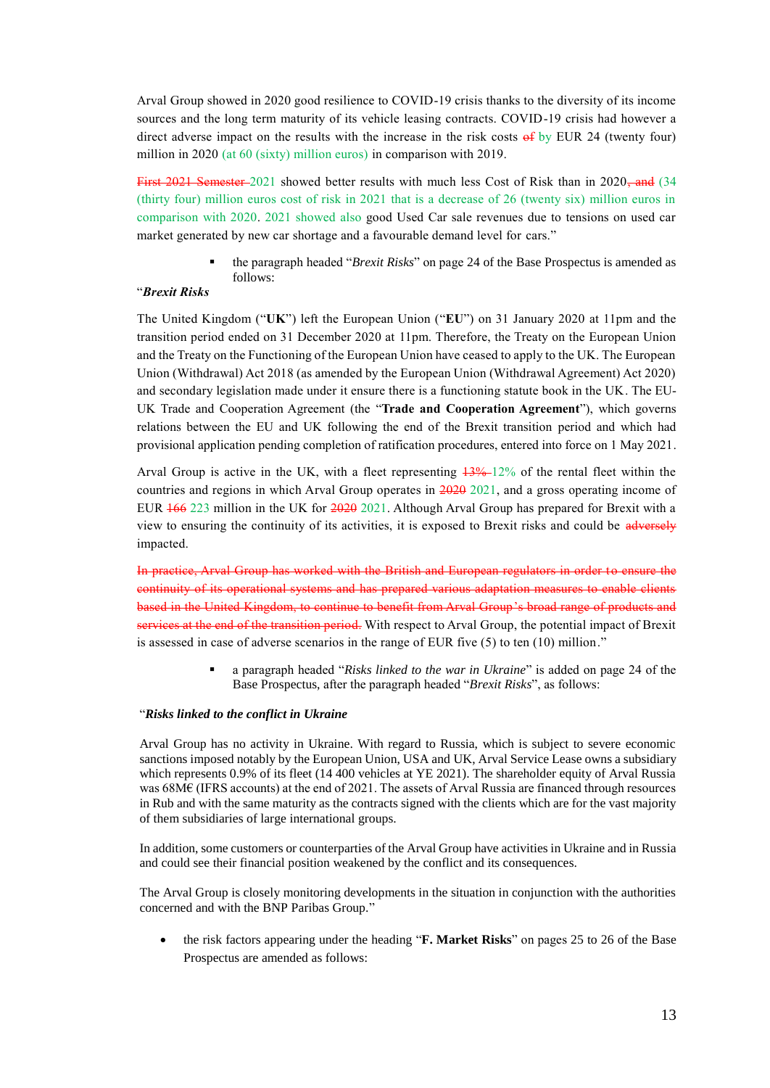Arval Group showed in 2020 good resilience to COVID-19 crisis thanks to the diversity of its income sources and the long term maturity of its vehicle leasing contracts. COVID-19 crisis had however a direct adverse impact on the results with the increase in the risk costs  $\theta$  by EUR 24 (twenty four) million in 2020 (at 60 (sixty) million euros) in comparison with 2019.

First 2021 Semester 2021 showed better results with much less Cost of Risk than in 2020, and  $(34)$ (thirty four) million euros cost of risk in 2021 that is a decrease of 26 (twenty six) million euros in comparison with 2020. 2021 showed also good Used Car sale revenues due to tensions on used car market generated by new car shortage and a favourable demand level for cars."

> the paragraph headed "*Brexit Risks*" on page 24 of the Base Prospectus is amended as follows:

## "*Brexit Risks*

The United Kingdom ("**UK**") left the European Union ("**EU**") on 31 January 2020 at 11pm and the transition period ended on 31 December 2020 at 11pm. Therefore, the Treaty on the European Union and the Treaty on the Functioning of the European Union have ceased to apply to the UK. The European Union (Withdrawal) Act 2018 (as amended by the European Union (Withdrawal Agreement) Act 2020) and secondary legislation made under it ensure there is a functioning statute book in the UK. The EU-UK Trade and Cooperation Agreement (the "**Trade and Cooperation Agreement**"), which governs relations between the EU and UK following the end of the Brexit transition period and which had provisional application pending completion of ratification procedures, entered into force on 1 May 2021.

Arval Group is active in the UK, with a fleet representing  $13\%$ -12% of the rental fleet within the countries and regions in which Arval Group operates in 2020 2021, and a gross operating income of EUR 166 223 million in the UK for 2020 2021. Although Arval Group has prepared for Brexit with a view to ensuring the continuity of its activities, it is exposed to Brexit risks and could be adversely impacted.

In practice, Arval Group has worked with the British and European regulators in order to ensure the continuity of its operational systems and has prepared various adaptation measures to enable clients based in the United Kingdom, to continue to benefit from Arval Group's broad range of products and services at the end of the transition period. With respect to Arval Group, the potential impact of Brexit is assessed in case of adverse scenarios in the range of EUR five (5) to ten (10) million."

> a paragraph headed "*Risks linked to the war in Ukraine*" is added on page 24 of the Base Prospectus, after the paragraph headed "*Brexit Risks*", as follows:

#### "*Risks linked to the conflict in Ukraine*

Arval Group has no activity in Ukraine. With regard to Russia, which is subject to severe economic sanctions imposed notably by the European Union, USA and UK, Arval Service Lease owns a subsidiary which represents 0.9% of its fleet (14 400 vehicles at YE 2021). The shareholder equity of Arval Russia was 68M€ (IFRS accounts) at the end of 2021. The assets of Arval Russia are financed through resources in Rub and with the same maturity as the contracts signed with the clients which are for the vast majority of them subsidiaries of large international groups.

In addition, some customers or counterparties of the Arval Group have activities in Ukraine and in Russia and could see their financial position weakened by the conflict and its consequences.

The Arval Group is closely monitoring developments in the situation in conjunction with the authorities concerned and with the BNP Paribas Group."

 the risk factors appearing under the heading "**F. Market Risks**" on pages 25 to 26 of the Base Prospectus are amended as follows: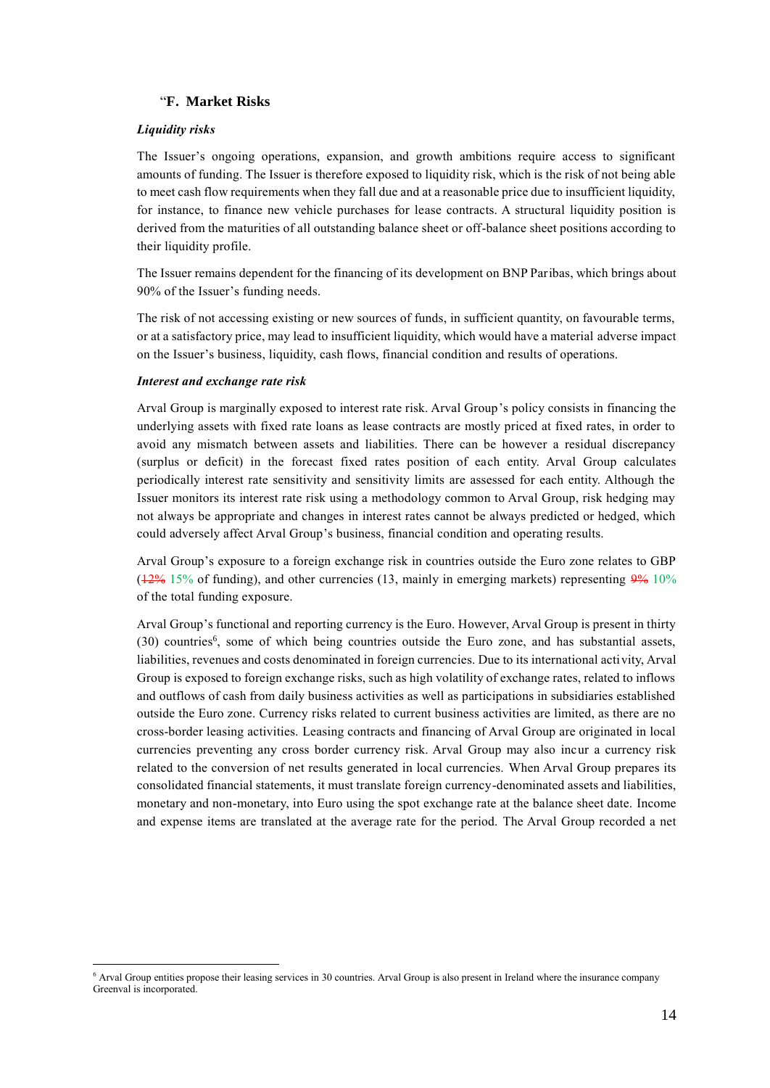## "**F. Market Risks**

## *Liquidity risks*

The Issuer's ongoing operations, expansion, and growth ambitions require access to significant amounts of funding. The Issuer is therefore exposed to liquidity risk, which is the risk of not being able to meet cash flow requirements when they fall due and at a reasonable price due to insufficient liquidity, for instance, to finance new vehicle purchases for lease contracts. A structural liquidity position is derived from the maturities of all outstanding balance sheet or off-balance sheet positions according to their liquidity profile.

The Issuer remains dependent for the financing of its development on BNP Paribas, which brings about 90% of the Issuer's funding needs.

The risk of not accessing existing or new sources of funds, in sufficient quantity, on favourable terms, or at a satisfactory price, may lead to insufficient liquidity, which would have a material adverse impact on the Issuer's business, liquidity, cash flows, financial condition and results of operations.

#### *Interest and exchange rate risk*

-

Arval Group is marginally exposed to interest rate risk. Arval Group's policy consists in financing the underlying assets with fixed rate loans as lease contracts are mostly priced at fixed rates, in order to avoid any mismatch between assets and liabilities. There can be however a residual discrepancy (surplus or deficit) in the forecast fixed rates position of each entity. Arval Group calculates periodically interest rate sensitivity and sensitivity limits are assessed for each entity. Although the Issuer monitors its interest rate risk using a methodology common to Arval Group, risk hedging may not always be appropriate and changes in interest rates cannot be always predicted or hedged, which could adversely affect Arval Group's business, financial condition and operating results.

Arval Group's exposure to a foreign exchange risk in countries outside the Euro zone relates to GBP  $(12\% 15\%$  of funding), and other currencies (13, mainly in emerging markets) representing  $9\% 10\%$ of the total funding exposure.

Arval Group's functional and reporting currency is the Euro. However, Arval Group is present in thirty (30) countries<sup>6</sup>, some of which being countries outside the Euro zone, and has substantial assets, liabilities, revenues and costs denominated in foreign currencies. Due to its international activity, Arval Group is exposed to foreign exchange risks, such as high volatility of exchange rates, related to inflows and outflows of cash from daily business activities as well as participations in subsidiaries established outside the Euro zone. Currency risks related to current business activities are limited, as there are no cross-border leasing activities. Leasing contracts and financing of Arval Group are originated in local currencies preventing any cross border currency risk. Arval Group may also incur a currency risk related to the conversion of net results generated in local currencies. When Arval Group prepares its consolidated financial statements, it must translate foreign currency-denominated assets and liabilities, monetary and non-monetary, into Euro using the spot exchange rate at the balance sheet date. Income and expense items are translated at the average rate for the period. The Arval Group recorded a net

<sup>6</sup> Arval Group entities propose their leasing services in 30 countries. Arval Group is also present in Ireland where the insurance company Greenval is incorporated.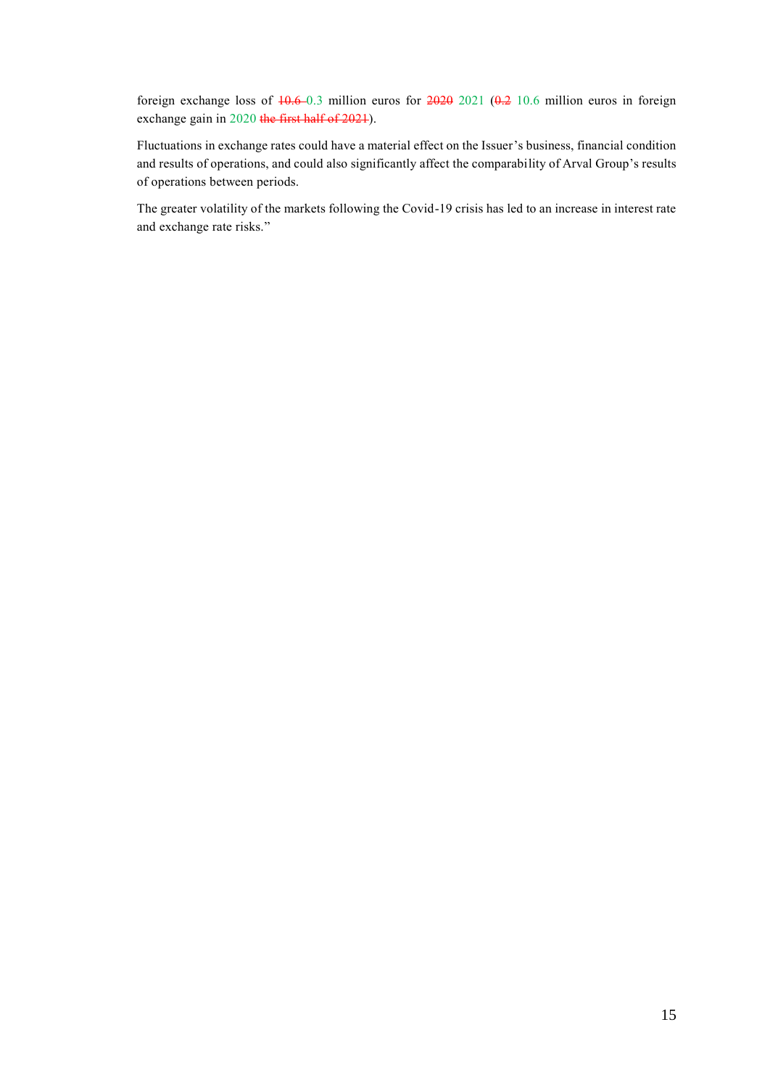foreign exchange loss of  $10.6 - 0.3$  million euros for  $2020$   $2021$   $(0.2 10.6$  million euros in foreign exchange gain in 2020 the first half of 2021).

Fluctuations in exchange rates could have a material effect on the Issuer's business, financial condition and results of operations, and could also significantly affect the comparability of Arval Group's results of operations between periods.

The greater volatility of the markets following the Covid-19 crisis has led to an increase in interest rate and exchange rate risks."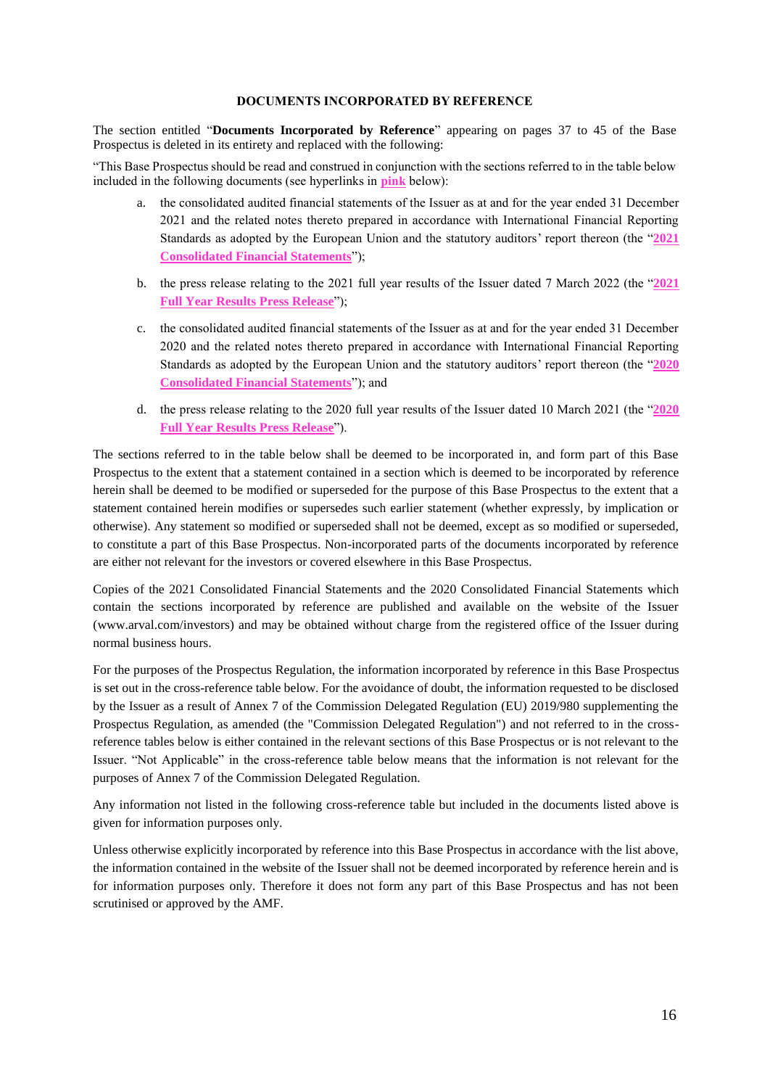### **DOCUMENTS INCORPORATED BY REFERENCE**

<span id="page-15-0"></span>The section entitled "**Documents Incorporated by Reference**" appearing on pages 37 to 45 of the Base Prospectus is deleted in its entirety and replaced with the following:

"This Base Prospectus should be read and construed in conjunction with the sections referred to in the table below included in the following documents (see hyperlinks in **pink** below):

- a. the consolidated audited financial statements of the Issuer as at and for the year ended 31 December 2021 and the related notes thereto prepared in accordance with International Financial Reporting Standards as adopted by the European Union and the statutory auditors' report thereon (the "**[2021](https://www.arval.com/sites/default/files/151/2022/04/Statutory_auditors_report_on_the_consolidated_financial_statements_as_of_31_December_2021.pdf) [Consolidated Financial Statements](https://www.arval.com/sites/default/files/151/2022/04/Statutory_auditors_report_on_the_consolidated_financial_statements_as_of_31_December_2021.pdf)**");
- b. the press release relating to the 2021 full year results of the Issuer dated 7 March 2022 (the "**[2021](https://www.arval.com/arval-2021-full-year-results)  [Full Year Results](https://www.arval.com/arval-2021-full-year-results) Press Release**");
- c. the consolidated audited financial statements of the Issuer as at and for the year ended 31 December 2020 and the related notes thereto prepared in accordance with International Financial Reporting Standards as adopted by the European Union and the statutory auditors' report thereon (the "**[2020](https://www.arval.com/sites/default/files/151/2021/03/2020-Statutory_auditors_report_on_the_Consolidated_Financial_Statements.pdf)  [Consolidated Financial Statements](https://www.arval.com/sites/default/files/151/2021/03/2020-Statutory_auditors_report_on_the_Consolidated_Financial_Statements.pdf)**"); and
- d. the press release relating to the 2020 full year results of the Issuer dated 10 March 2021 (the "**[2020](https://www.arval.com/arval-2020-full-year-results)  [Full Year Results](https://www.arval.com/arval-2020-full-year-results) Press Release**").

The sections referred to in the table below shall be deemed to be incorporated in, and form part of this Base Prospectus to the extent that a statement contained in a section which is deemed to be incorporated by reference herein shall be deemed to be modified or superseded for the purpose of this Base Prospectus to the extent that a statement contained herein modifies or supersedes such earlier statement (whether expressly, by implication or otherwise). Any statement so modified or superseded shall not be deemed, except as so modified or superseded, to constitute a part of this Base Prospectus. Non-incorporated parts of the documents incorporated by reference are either not relevant for the investors or covered elsewhere in this Base Prospectus.

Copies of the 2021 Consolidated Financial Statements and the 2020 Consolidated Financial Statements which contain the sections incorporated by reference are published and available on the website of the Issuer [\(www.arval.com/investors\)](http://www.arval.com/investors) and may be obtained without charge from the registered office of the Issuer during normal business hours.

For the purposes of the Prospectus Regulation, the information incorporated by reference in this Base Prospectus is set out in the cross-reference table below. For the avoidance of doubt, the information requested to be disclosed by the Issuer as a result of Annex 7 of the Commission Delegated Regulation (EU) 2019/980 supplementing the Prospectus Regulation, as amended (the "Commission Delegated Regulation") and not referred to in the crossreference tables below is either contained in the relevant sections of this Base Prospectus or is not relevant to the Issuer. "Not Applicable" in the cross-reference table below means that the information is not relevant for the purposes of Annex 7 of the Commission Delegated Regulation.

Any information not listed in the following cross-reference table but included in the documents listed above is given for information purposes only.

Unless otherwise explicitly incorporated by reference into this Base Prospectus in accordance with the list above, the information contained in the website of the Issuer shall not be deemed incorporated by reference herein and is for information purposes only. Therefore it does not form any part of this Base Prospectus and has not been scrutinised or approved by the AMF.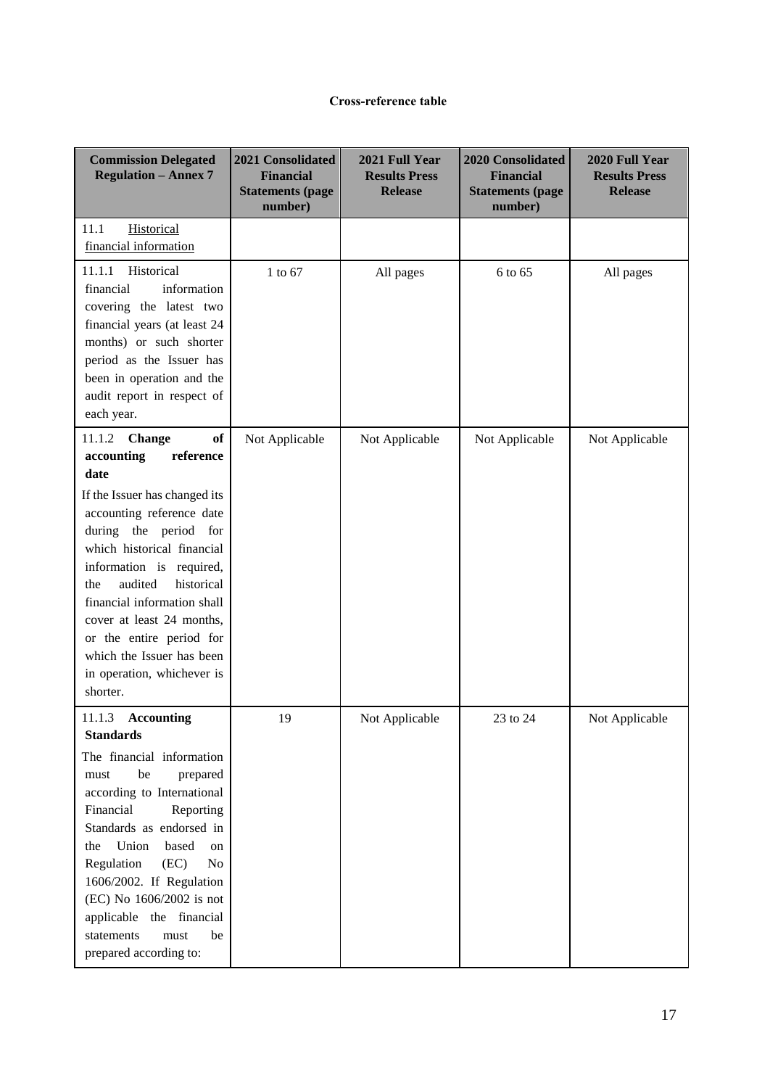## **Cross-reference table**

| <b>Commission Delegated</b><br><b>Regulation - Annex 7</b>                                                                                                                                                                                                                                                                                                                                                  | 2021 Consolidated<br><b>Financial</b><br><b>Statements (page</b><br>number) | 2021 Full Year<br><b>Results Press</b><br><b>Release</b> | <b>2020 Consolidated</b><br><b>Financial</b><br><b>Statements (page</b><br>number) | 2020 Full Year<br><b>Results Press</b><br><b>Release</b> |
|-------------------------------------------------------------------------------------------------------------------------------------------------------------------------------------------------------------------------------------------------------------------------------------------------------------------------------------------------------------------------------------------------------------|-----------------------------------------------------------------------------|----------------------------------------------------------|------------------------------------------------------------------------------------|----------------------------------------------------------|
| 11.1<br>Historical<br>financial information                                                                                                                                                                                                                                                                                                                                                                 |                                                                             |                                                          |                                                                                    |                                                          |
| 11.1.1<br>Historical<br>information<br>financial<br>covering the latest two<br>financial years (at least 24<br>months) or such shorter<br>period as the Issuer has<br>been in operation and the<br>audit report in respect of<br>each year.                                                                                                                                                                 | 1 to 67                                                                     | All pages                                                | 6 to 65                                                                            | All pages                                                |
| <b>of</b><br>11.1.2<br>Change<br>accounting<br>reference<br>date                                                                                                                                                                                                                                                                                                                                            | Not Applicable                                                              | Not Applicable                                           | Not Applicable                                                                     | Not Applicable                                           |
| If the Issuer has changed its<br>accounting reference date<br>during the period for<br>which historical financial<br>information is required,<br>audited<br>historical<br>the<br>financial information shall<br>cover at least 24 months,<br>or the entire period for<br>which the Issuer has been<br>in operation, whichever is<br>shorter.                                                                |                                                                             |                                                          |                                                                                    |                                                          |
| 11.1.3<br><b>Accounting</b><br><b>Standards</b><br>The financial information<br>be<br>prepared<br>must<br>according to International<br>Financial<br>Reporting<br>Standards as endorsed in<br>based<br>Union<br>the<br>on<br>Regulation<br>(EC)<br>N <sub>0</sub><br>1606/2002. If Regulation<br>(EC) No 1606/2002 is not<br>applicable the financial<br>statements<br>must<br>be<br>prepared according to: | 19                                                                          | Not Applicable                                           | 23 to 24                                                                           | Not Applicable                                           |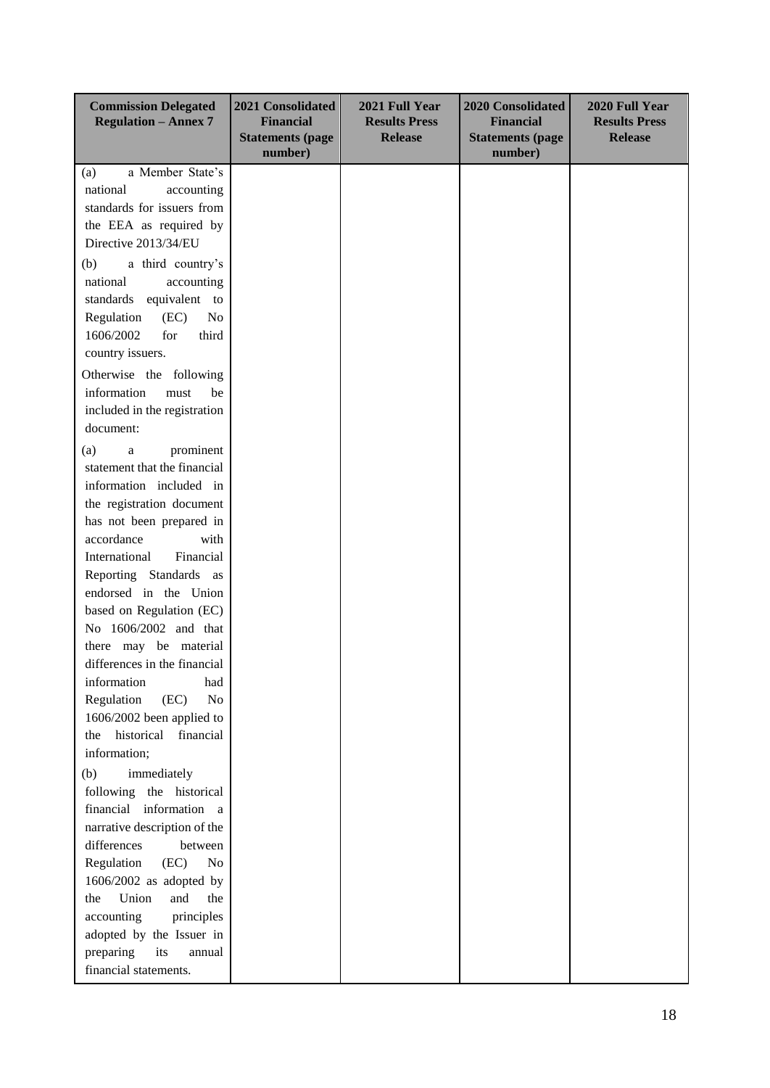| <b>Commission Delegated</b><br><b>Regulation - Annex 7</b> | 2021 Consolidated<br><b>Financial</b><br><b>Statements (page</b><br>number) | 2021 Full Year<br><b>Results Press</b><br><b>Release</b> | <b>2020 Consolidated</b><br><b>Financial</b><br><b>Statements (page</b><br>number) | 2020 Full Year<br><b>Results Press</b><br><b>Release</b> |
|------------------------------------------------------------|-----------------------------------------------------------------------------|----------------------------------------------------------|------------------------------------------------------------------------------------|----------------------------------------------------------|
| a Member State's<br>(a)                                    |                                                                             |                                                          |                                                                                    |                                                          |
| national<br>accounting                                     |                                                                             |                                                          |                                                                                    |                                                          |
| standards for issuers from                                 |                                                                             |                                                          |                                                                                    |                                                          |
| the EEA as required by                                     |                                                                             |                                                          |                                                                                    |                                                          |
| Directive 2013/34/EU                                       |                                                                             |                                                          |                                                                                    |                                                          |
| (b)<br>a third country's                                   |                                                                             |                                                          |                                                                                    |                                                          |
| national<br>accounting                                     |                                                                             |                                                          |                                                                                    |                                                          |
| standards<br>equivalent to                                 |                                                                             |                                                          |                                                                                    |                                                          |
| (EC)<br>No<br>Regulation                                   |                                                                             |                                                          |                                                                                    |                                                          |
| for<br>third<br>1606/2002                                  |                                                                             |                                                          |                                                                                    |                                                          |
| country issuers.                                           |                                                                             |                                                          |                                                                                    |                                                          |
|                                                            |                                                                             |                                                          |                                                                                    |                                                          |
| Otherwise the following                                    |                                                                             |                                                          |                                                                                    |                                                          |
| information<br>must<br>be                                  |                                                                             |                                                          |                                                                                    |                                                          |
| included in the registration                               |                                                                             |                                                          |                                                                                    |                                                          |
| document:                                                  |                                                                             |                                                          |                                                                                    |                                                          |
| prominent<br>(a)<br>$\rm{a}$                               |                                                                             |                                                          |                                                                                    |                                                          |
| statement that the financial                               |                                                                             |                                                          |                                                                                    |                                                          |
| information included in                                    |                                                                             |                                                          |                                                                                    |                                                          |
| the registration document                                  |                                                                             |                                                          |                                                                                    |                                                          |
| has not been prepared in                                   |                                                                             |                                                          |                                                                                    |                                                          |
| accordance<br>with                                         |                                                                             |                                                          |                                                                                    |                                                          |
| International<br>Financial                                 |                                                                             |                                                          |                                                                                    |                                                          |
| Reporting Standards as                                     |                                                                             |                                                          |                                                                                    |                                                          |
| endorsed in the Union                                      |                                                                             |                                                          |                                                                                    |                                                          |
| based on Regulation (EC)                                   |                                                                             |                                                          |                                                                                    |                                                          |
| No 1606/2002 and that                                      |                                                                             |                                                          |                                                                                    |                                                          |
| there may be material                                      |                                                                             |                                                          |                                                                                    |                                                          |
| differences in the financial                               |                                                                             |                                                          |                                                                                    |                                                          |
| information<br>had                                         |                                                                             |                                                          |                                                                                    |                                                          |
| Regulation<br>(EC)<br>No<br>1606/2002 been applied to      |                                                                             |                                                          |                                                                                    |                                                          |
| historical<br>financial<br>the                             |                                                                             |                                                          |                                                                                    |                                                          |
| information;                                               |                                                                             |                                                          |                                                                                    |                                                          |
| (b)<br>immediately                                         |                                                                             |                                                          |                                                                                    |                                                          |
| following the historical                                   |                                                                             |                                                          |                                                                                    |                                                          |
| financial information a                                    |                                                                             |                                                          |                                                                                    |                                                          |
| narrative description of the                               |                                                                             |                                                          |                                                                                    |                                                          |
| differences                                                |                                                                             |                                                          |                                                                                    |                                                          |
| between<br>(EC)<br>N <sub>0</sub>                          |                                                                             |                                                          |                                                                                    |                                                          |
| Regulation                                                 |                                                                             |                                                          |                                                                                    |                                                          |
| 1606/2002 as adopted by<br>Union<br>and<br>the<br>the      |                                                                             |                                                          |                                                                                    |                                                          |
|                                                            |                                                                             |                                                          |                                                                                    |                                                          |
| accounting<br>principles                                   |                                                                             |                                                          |                                                                                    |                                                          |
| adopted by the Issuer in<br>its                            |                                                                             |                                                          |                                                                                    |                                                          |
| preparing<br>annual<br>financial statements.               |                                                                             |                                                          |                                                                                    |                                                          |
|                                                            |                                                                             |                                                          |                                                                                    |                                                          |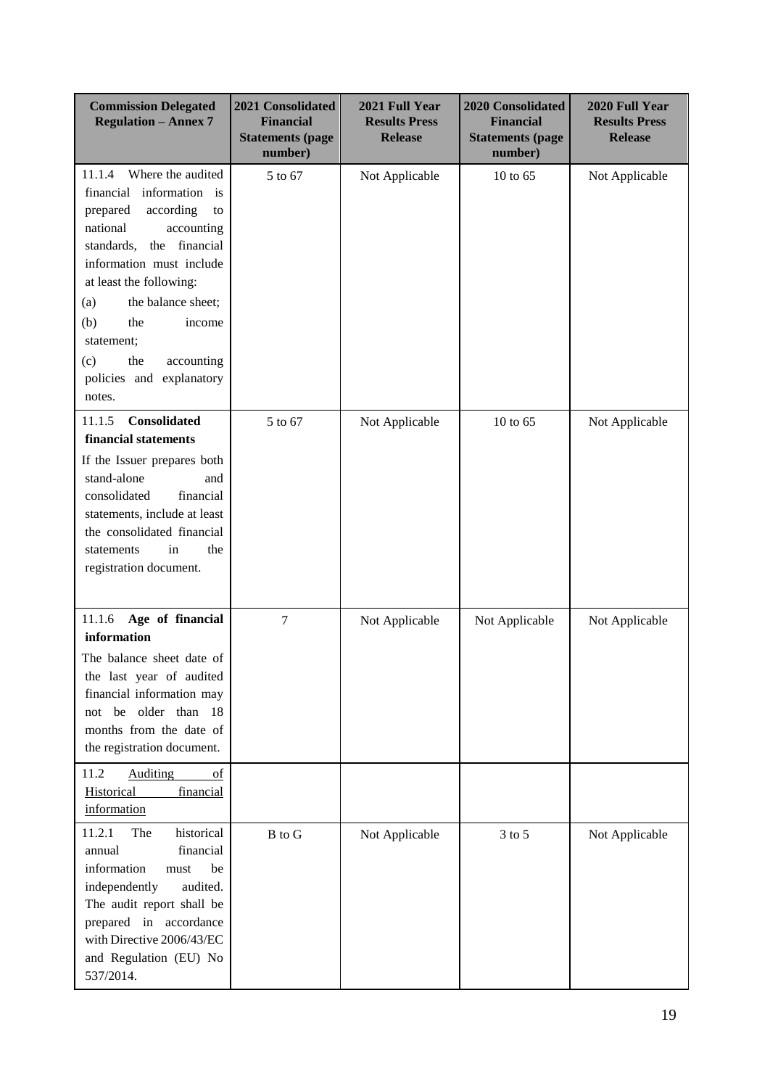| <b>Commission Delegated</b><br><b>Regulation - Annex 7</b>                                                                                                                                                                                                                                                                                        | 2021 Consolidated<br><b>Financial</b><br><b>Statements (page</b><br>number) | 2021 Full Year<br><b>Results Press</b><br><b>Release</b> | <b>2020 Consolidated</b><br><b>Financial</b><br><b>Statements (page</b><br>number) | 2020 Full Year<br><b>Results Press</b><br><b>Release</b> |
|---------------------------------------------------------------------------------------------------------------------------------------------------------------------------------------------------------------------------------------------------------------------------------------------------------------------------------------------------|-----------------------------------------------------------------------------|----------------------------------------------------------|------------------------------------------------------------------------------------|----------------------------------------------------------|
| Where the audited<br>11.1.4<br>information<br>financial<br>is<br>according<br>prepared<br>to<br>national<br>accounting<br>the financial<br>standards,<br>information must include<br>at least the following:<br>the balance sheet;<br>(a)<br>(b)<br>the<br>income<br>statement;<br>the<br>accounting<br>(c)<br>policies and explanatory<br>notes. | 5 to 67                                                                     | Not Applicable                                           | 10 to $65$                                                                         | Not Applicable                                           |
| Consolidated<br>11.1.5<br>financial statements<br>If the Issuer prepares both<br>stand-alone<br>and<br>consolidated<br>financial<br>statements, include at least<br>the consolidated financial<br>in<br>the<br>statements<br>registration document.                                                                                               | 5 to 67                                                                     | Not Applicable                                           | 10 to 65                                                                           | Not Applicable                                           |
| Age of financial<br>11.1.6<br>information<br>The balance sheet date of<br>the last year of audited<br>financial information may<br>older than<br>be<br>- 18<br>not<br>months from the date of<br>the registration document.<br>11.2<br><b>Auditing</b><br>$\sigma$                                                                                | $\overline{7}$                                                              | Not Applicable                                           | Not Applicable                                                                     | Not Applicable                                           |
| Historical<br>financial<br>information                                                                                                                                                                                                                                                                                                            |                                                                             |                                                          |                                                                                    |                                                          |
| 11.2.1<br>historical<br>The<br>financial<br>annual<br>information<br>be<br>must<br>independently<br>audited.<br>The audit report shall be<br>prepared in accordance<br>with Directive 2006/43/EC<br>and Regulation (EU) No<br>537/2014.                                                                                                           | <b>B</b> to G                                                               | Not Applicable                                           | 3 to 5                                                                             | Not Applicable                                           |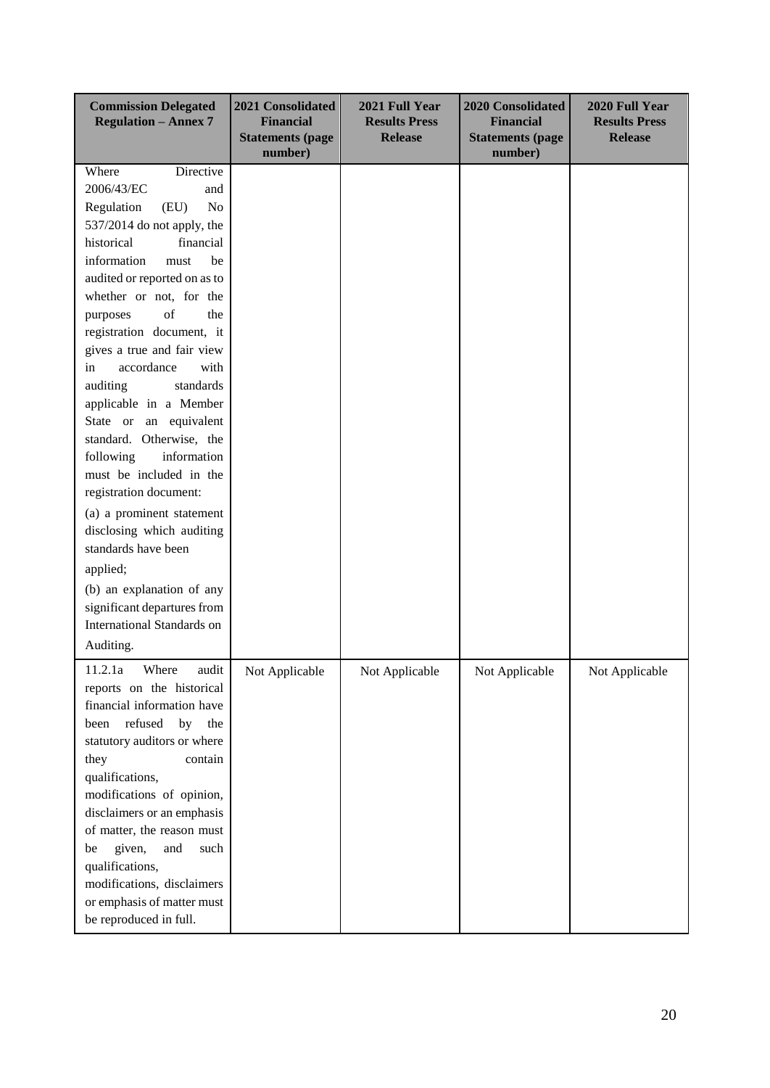| <b>Commission Delegated</b><br><b>Regulation - Annex 7</b>                                                                                                                                                                                                                                                                                                                                                                                                                                                                                                                                                                                                                                                                                   | 2021 Consolidated<br><b>Financial</b><br><b>Statements (page</b><br>number) | 2021 Full Year<br><b>Results Press</b><br><b>Release</b> | <b>2020 Consolidated</b><br><b>Financial</b><br><b>Statements (page</b><br>number) | 2020 Full Year<br><b>Results Press</b><br><b>Release</b> |
|----------------------------------------------------------------------------------------------------------------------------------------------------------------------------------------------------------------------------------------------------------------------------------------------------------------------------------------------------------------------------------------------------------------------------------------------------------------------------------------------------------------------------------------------------------------------------------------------------------------------------------------------------------------------------------------------------------------------------------------------|-----------------------------------------------------------------------------|----------------------------------------------------------|------------------------------------------------------------------------------------|----------------------------------------------------------|
| Where<br>Directive<br>2006/43/EC<br>and<br>(EU)<br>Regulation<br>No<br>537/2014 do not apply, the<br>historical<br>financial<br>information<br>must<br>be<br>audited or reported on as to<br>whether or not, for the<br>of<br>the<br>purposes<br>registration document, it<br>gives a true and fair view<br>accordance<br>in<br>with<br>auditing<br>standards<br>applicable in a Member<br>equivalent<br>State or an<br>standard. Otherwise, the<br>information<br>following<br>must be included in the<br>registration document:<br>(a) a prominent statement<br>disclosing which auditing<br>standards have been<br>applied;<br>(b) an explanation of any<br>significant departures from<br><b>International Standards on</b><br>Auditing. |                                                                             |                                                          |                                                                                    |                                                          |
| 11.2.1a<br>Where<br>audit<br>reports on the historical<br>financial information have<br>refused<br>by<br>the<br>been<br>statutory auditors or where<br>they<br>contain<br>qualifications,<br>modifications of opinion,<br>disclaimers or an emphasis<br>of matter, the reason must<br>given,<br>and<br>such<br>be<br>qualifications,<br>modifications, disclaimers<br>or emphasis of matter must<br>be reproduced in full.                                                                                                                                                                                                                                                                                                                   | Not Applicable                                                              | Not Applicable                                           | Not Applicable                                                                     | Not Applicable                                           |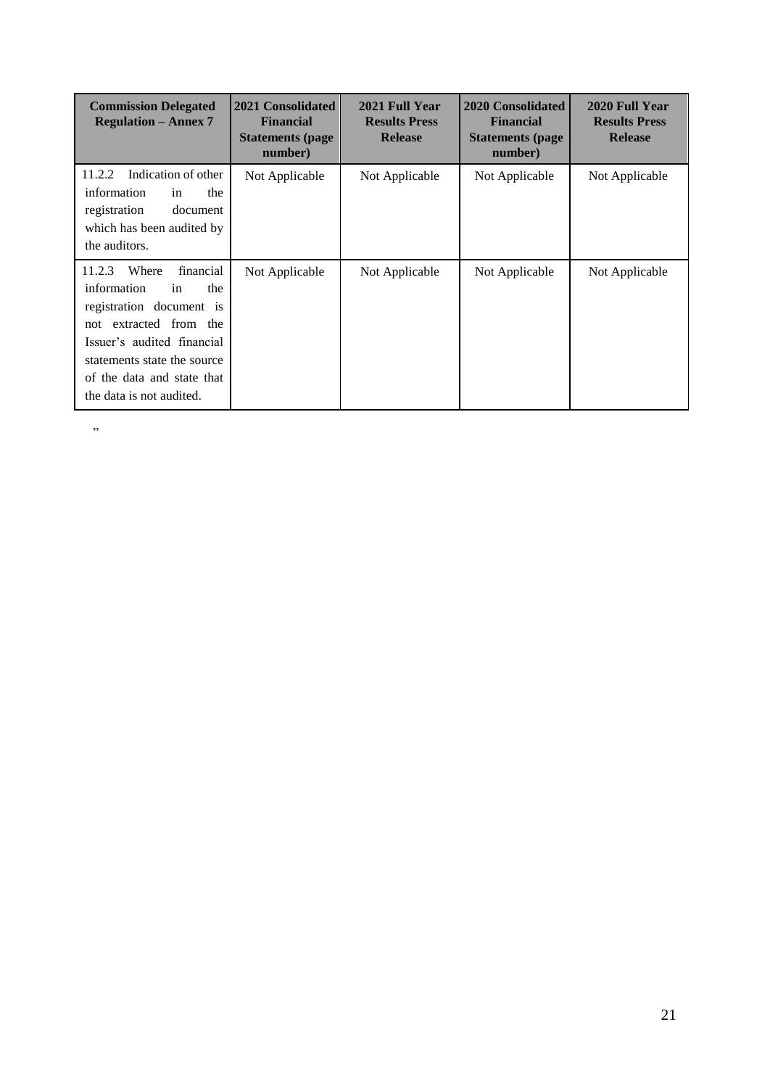| <b>Commission Delegated</b><br><b>Regulation – Annex 7</b>                                                                                                                                                                            | 2021 Consolidated<br><b>Financial</b><br><b>Statements (page)</b><br>number) | 2021 Full Year<br><b>Results Press</b><br><b>Release</b> | <b>2020 Consolidated</b><br><b>Financial</b><br><b>Statements (page)</b><br>number) | 2020 Full Year<br><b>Results Press</b><br><b>Release</b> |
|---------------------------------------------------------------------------------------------------------------------------------------------------------------------------------------------------------------------------------------|------------------------------------------------------------------------------|----------------------------------------------------------|-------------------------------------------------------------------------------------|----------------------------------------------------------|
| Indication of other<br>11.2.2<br>information<br>the<br>in<br>registration<br>document<br>which has been audited by<br>the auditors.                                                                                                   | Not Applicable                                                               | Not Applicable                                           | Not Applicable                                                                      | Not Applicable                                           |
| Where<br>financial<br>11.2.3<br>information<br>the<br>in<br>registration document is<br>not extracted from the<br>Issuer's audited financial<br>statements state the source<br>of the data and state that<br>the data is not audited. | Not Applicable                                                               | Not Applicable                                           | Not Applicable                                                                      | Not Applicable                                           |

"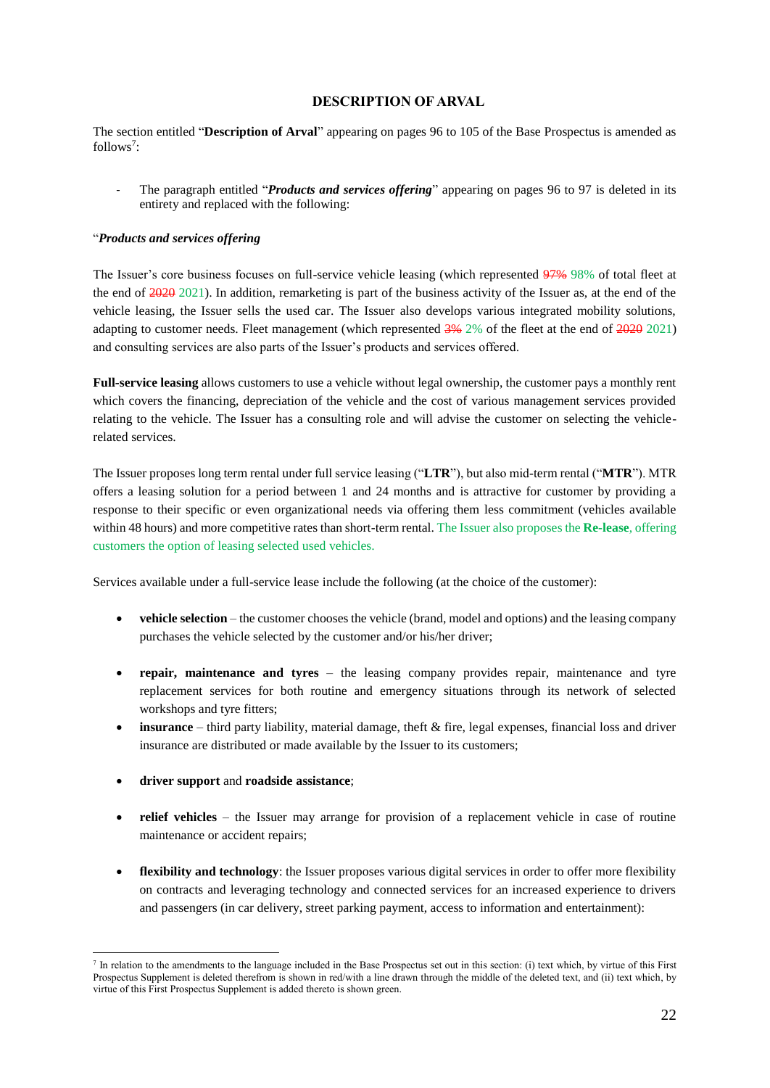## **DESCRIPTION OF ARVAL**

<span id="page-21-0"></span>The section entitled "**Description of Arval**" appearing on pages 96 to 105 of the Base Prospectus is amended as follows<sup>7</sup>:

The paragraph entitled "*Products and services offering*" appearing on pages 96 to 97 is deleted in its entirety and replaced with the following:

## "*Products and services offering*

The Issuer's core business focuses on full-service vehicle leasing (which represented 97% 98% of total fleet at the end of 2020 2021). In addition, remarketing is part of the business activity of the Issuer as, at the end of the vehicle leasing, the Issuer sells the used car. The Issuer also develops various integrated mobility solutions, adapting to customer needs. Fleet management (which represented  $\frac{3\%}{2\%}$  2% of the fleet at the end of  $\frac{2020}{2021}$ ) and consulting services are also parts of the Issuer's products and services offered.

**Full-service leasing** allows customers to use a vehicle without legal ownership, the customer pays a monthly rent which covers the financing, depreciation of the vehicle and the cost of various management services provided relating to the vehicle. The Issuer has a consulting role and will advise the customer on selecting the vehiclerelated services.

The Issuer proposes long term rental under full service leasing ("**LTR**"), but also mid-term rental ("**MTR**"). MTR offers a leasing solution for a period between 1 and 24 months and is attractive for customer by providing a response to their specific or even organizational needs via offering them less commitment (vehicles available within 48 hours) and more competitive rates than short-term rental. The Issuer also proposes the **Re-lease**, offering customers the option of leasing selected used vehicles.

Services available under a full-service lease include the following (at the choice of the customer):

- **vehicle selection** the customer chooses the vehicle (brand, model and options) and the leasing company purchases the vehicle selected by the customer and/or his/her driver;
- **repair, maintenance and tyres** the leasing company provides repair, maintenance and tyre replacement services for both routine and emergency situations through its network of selected workshops and tyre fitters;
- **insurance**  third party liability, material damage, theft & fire, legal expenses, financial loss and driver insurance are distributed or made available by the Issuer to its customers;
- **driver support** and **roadside assistance**;

- **relief vehicles** the Issuer may arrange for provision of a replacement vehicle in case of routine maintenance or accident repairs;
- **flexibility and technology**: the Issuer proposes various digital services in order to offer more flexibility on contracts and leveraging technology and connected services for an increased experience to drivers and passengers (in car delivery, street parking payment, access to information and entertainment):

 $<sup>7</sup>$  In relation to the amendments to the language included in the Base Prospectus set out in this section: (i) text which, by virtue of this First</sup> Prospectus Supplement is deleted therefrom is shown in red/with a line drawn through the middle of the deleted text, and (ii) text which, by virtue of this First Prospectus Supplement is added thereto is shown green.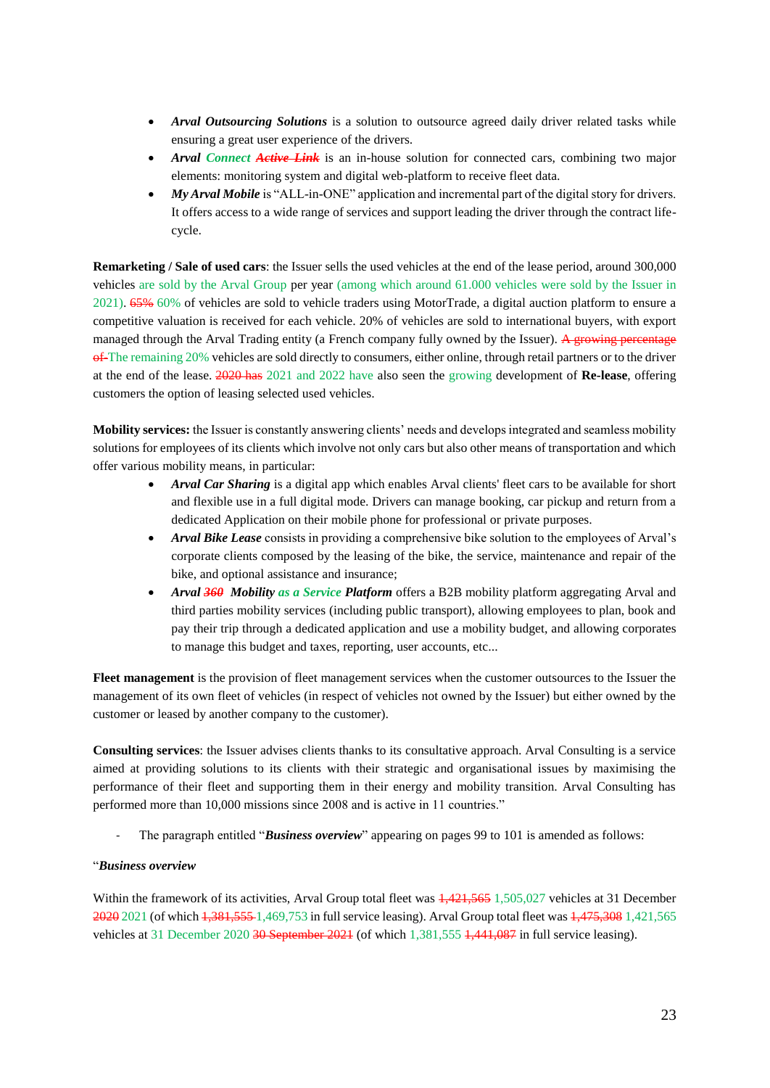- *Arval Outsourcing Solutions* is a solution to outsource agreed daily driver related tasks while ensuring a great user experience of the drivers.
- *Arval Connect Active Link* is an in-house solution for connected cars, combining two major elements: monitoring system and digital web-platform to receive fleet data.
- *My Arval Mobile* is "ALL-in-ONE" application and incremental part of the digital story for drivers. It offers access to a wide range of services and support leading the driver through the contract lifecycle.

**Remarketing / Sale of used cars**: the Issuer sells the used vehicles at the end of the lease period, around 300,000 vehicles are sold by the Arval Group per year (among which around 61.000 vehicles were sold by the Issuer in 2021). 65% 60% of vehicles are sold to vehicle traders using MotorTrade, a digital auction platform to ensure a competitive valuation is received for each vehicle. 20% of vehicles are sold to international buyers, with export managed through the Arval Trading entity (a French company fully owned by the Issuer). A growing percentage of-The remaining 20% vehicles are sold directly to consumers, either online, through retail partners or to the driver at the end of the lease. 2020 has 2021 and 2022 have also seen the growing development of **Re-lease**, offering customers the option of leasing selected used vehicles.

**Mobility services:** the Issuer is constantly answering clients' needs and develops integrated and seamless mobility solutions for employees of its clients which involve not only cars but also other means of transportation and which offer various mobility means, in particular:

- *Arval Car Sharing* is a digital app which enables Arval clients' fleet cars to be available for short and flexible use in a full digital mode. Drivers can manage booking, car pickup and return from a dedicated Application on their mobile phone for professional or private purposes.
- *Arval Bike Lease* consists in providing a comprehensive bike solution to the employees of Arval's corporate clients composed by the leasing of the bike, the service, maintenance and repair of the bike, and optional assistance and insurance;
- *Arval 360 Mobility as a Service Platform* offers a B2B mobility platform aggregating Arval and third parties mobility services (including public transport), allowing employees to plan, book and pay their trip through a dedicated application and use a mobility budget, and allowing corporates to manage this budget and taxes, reporting, user accounts, etc...

**Fleet management** is the provision of fleet management services when the customer outsources to the Issuer the management of its own fleet of vehicles (in respect of vehicles not owned by the Issuer) but either owned by the customer or leased by another company to the customer).

**Consulting services**: the Issuer advises clients thanks to its consultative approach. Arval Consulting is a service aimed at providing solutions to its clients with their strategic and organisational issues by maximising the performance of their fleet and supporting them in their energy and mobility transition. Arval Consulting has performed more than 10,000 missions since 2008 and is active in 11 countries."

The paragraph entitled "**Business overview**" appearing on pages 99 to 101 is amended as follows:

#### "*Business overview*

Within the framework of its activities, Arval Group total fleet was  $\frac{1}{421,565}$  1,505,027 vehicles at 31 December 2020 2021 (of which 1,381,555 1,469,753 in full service leasing). Arval Group total fleet was 1,475,308 1,421,565 vehicles at 31 December 2020 30 September 2021 (of which 1,381,555 1,441,087 in full service leasing).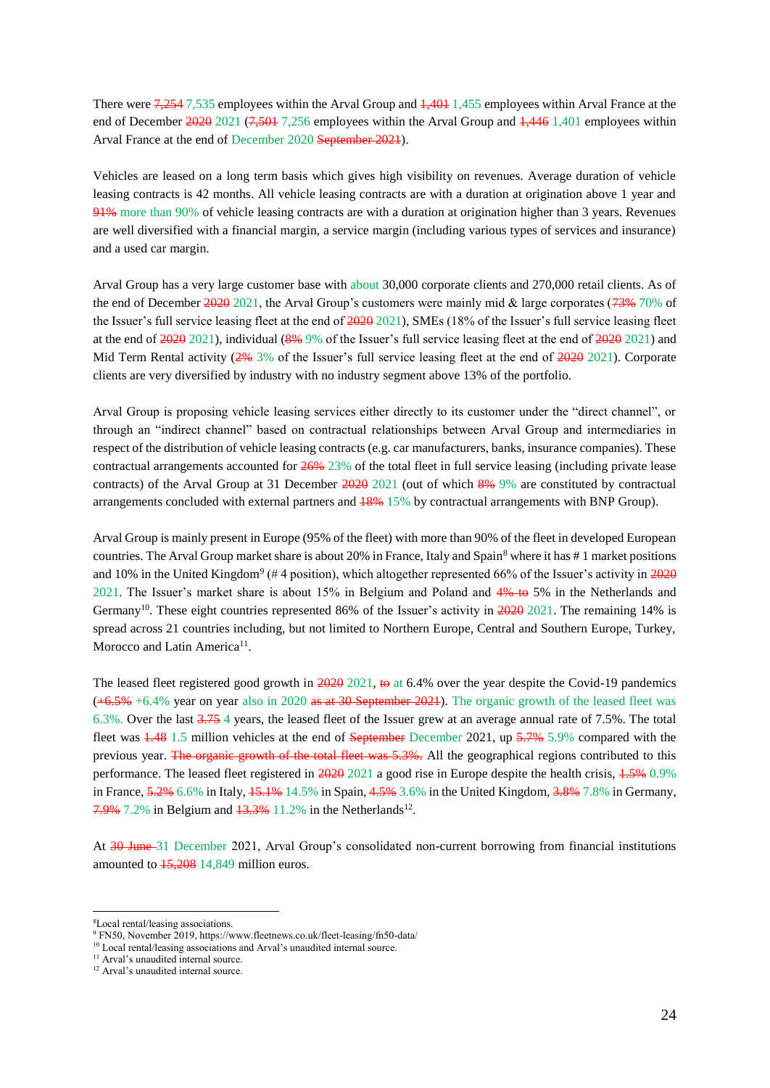There were 7,254 7,535 employees within the Arval Group and 1,401 1,455 employees within Arval France at the end of December 2020 2021 (7,501 7,256 employees within the Arval Group and 1,446 1,401 employees within Arval France at the end of December 2020 September 2021).

Vehicles are leased on a long term basis which gives high visibility on revenues. Average duration of vehicle leasing contracts is 42 months. All vehicle leasing contracts are with a duration at origination above 1 year and 91% more than 90% of vehicle leasing contracts are with a duration at origination higher than 3 years. Revenues are well diversified with a financial margin, a service margin (including various types of services and insurance) and a used car margin.

Arval Group has a very large customer base with about 30,000 corporate clients and 270,000 retail clients. As of the end of December  $202021$ , the Arval Group's customers were mainly mid & large corporates ( $73\%$  70% of the Issuer's full service leasing fleet at the end of  $202021$ , SMEs (18% of the Issuer's full service leasing fleet at the end of 2020 2021), individual (8% 9% of the Issuer's full service leasing fleet at the end of 2020 2021) and Mid Term Rental activity ( $2\%$  3% of the Issuer's full service leasing fleet at the end of  $2020$  2021). Corporate clients are very diversified by industry with no industry segment above 13% of the portfolio.

Arval Group is proposing vehicle leasing services either directly to its customer under the "direct channel", or through an "indirect channel" based on contractual relationships between Arval Group and intermediaries in respect of the distribution of vehicle leasing contracts (e.g. car manufacturers, banks, insurance companies). These contractual arrangements accounted for 26% 23% of the total fleet in full service leasing (including private lease contracts) of the Arval Group at 31 December 2020 2021 (out of which 8% 9% are constituted by contractual arrangements concluded with external partners and 18% 15% by contractual arrangements with BNP Group).

Arval Group is mainly present in Europe (95% of the fleet) with more than 90% of the fleet in developed European countries. The Arval Group market share is about 20% in France, Italy and Spain $^8$  where it has # 1 market positions and 10% in the United Kingdom<sup>9</sup> (#4 position), which altogether represented 66% of the Issuer's activity in 2020 2021. The Issuer's market share is about 15% in Belgium and Poland and 4% to 5% in the Netherlands and Germany<sup>10</sup>. These eight countries represented 86% of the Issuer's activity in 2020 2021. The remaining 14% is spread across 21 countries including, but not limited to Northern Europe, Central and Southern Europe, Turkey, Morocco and Latin America<sup>11</sup>.

The leased fleet registered good growth in 2020 2021, to at 6.4% over the year despite the Covid-19 pandemics  $(+6.5\% +6.4\%$  year on year also in 2020 as at 30 September 2021). The organic growth of the leased fleet was 6.3%. Over the last 3.75 4 years, the leased fleet of the Issuer grew at an average annual rate of 7.5%. The total fleet was 1.48 1.5 million vehicles at the end of September December 2021, up 5.7% 5.9% compared with the previous year. The organic growth of the total fleet was 5.3%. All the geographical regions contributed to this performance. The leased fleet registered in 2020 2021 a good rise in Europe despite the health crisis,  $1.5\%$  0.9% in France, 5.2% 6.6% in Italy, 15.1% 14.5% in Spain, 4.5% 3.6% in the United Kingdom, 3.8% 7.8% in Germany,  $7.9\%$  7.2% in Belgium and  $13.3\%$  11.2% in the Netherlands<sup>12</sup>.

At 30 June 31 December 2021, Arval Group's consolidated non-current borrowing from financial institutions amounted to 15,208 14,849 million euros.

<sup>8</sup>Local rental/leasing associations.

<sup>9</sup> FN50, November 2019[, https://www.fleetnews.co.uk/fleet-leasing/fn50-data/](https://www.fleetnews.co.uk/fleet-leasing/fn50-data/)

<sup>&</sup>lt;sup>10</sup> Local rental/leasing associations and Arval's unaudited internal source.

<sup>&</sup>lt;sup>11</sup> Arval's unaudited internal source.

<sup>&</sup>lt;sup>12</sup> Arval's unaudited internal source.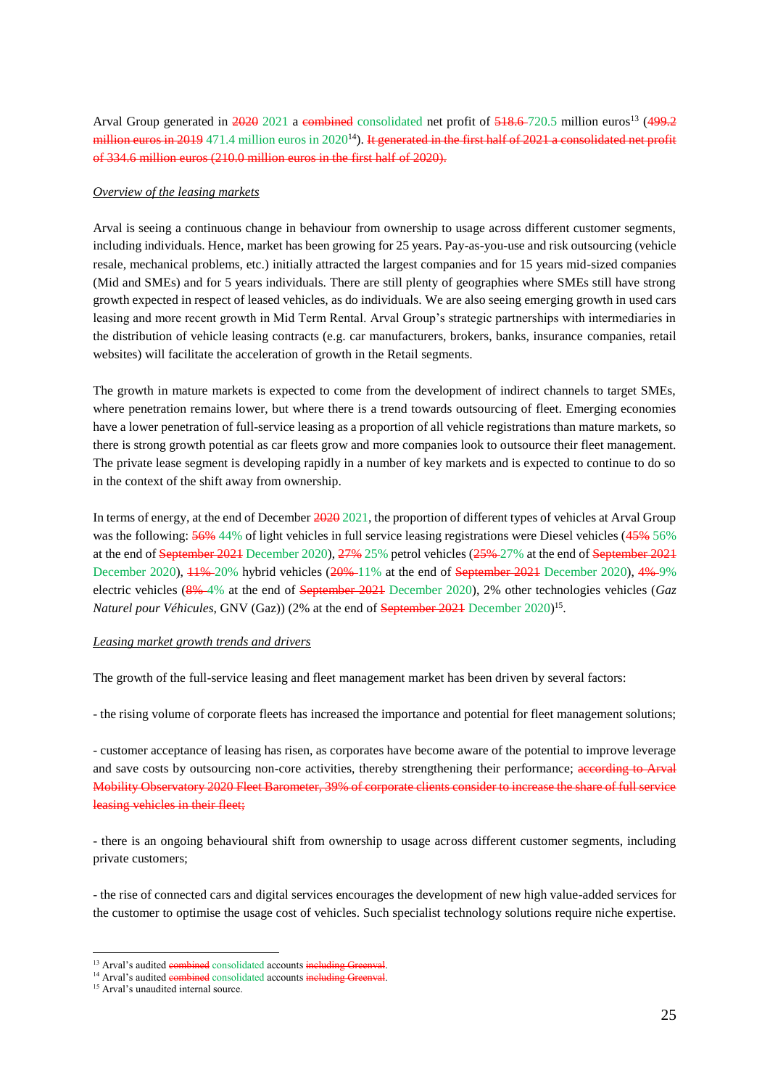Arval Group generated in  $2020\overline{2021}$  a combined consolidated net profit of  $518.6-720.5$  million euros<sup>13</sup> (499.2) million euros in 2019 471.4 million euros in  $2020^{14}$ ). It generated in the first half of 2021 a consolidated net profit of 334.6 million euros (210.0 million euros in the first half of 2020).

### *Overview of the leasing markets*

Arval is seeing a continuous change in behaviour from ownership to usage across different customer segments, including individuals. Hence, market has been growing for 25 years. Pay-as-you-use and risk outsourcing (vehicle resale, mechanical problems, etc.) initially attracted the largest companies and for 15 years mid-sized companies (Mid and SMEs) and for 5 years individuals. There are still plenty of geographies where SMEs still have strong growth expected in respect of leased vehicles, as do individuals. We are also seeing emerging growth in used cars leasing and more recent growth in Mid Term Rental. Arval Group's strategic partnerships with intermediaries in the distribution of vehicle leasing contracts (e.g. car manufacturers, brokers, banks, insurance companies, retail websites) will facilitate the acceleration of growth in the Retail segments.

The growth in mature markets is expected to come from the development of indirect channels to target SMEs, where penetration remains lower, but where there is a trend towards outsourcing of fleet. Emerging economies have a lower penetration of full-service leasing as a proportion of all vehicle registrations than mature markets, so there is strong growth potential as car fleets grow and more companies look to outsource their fleet management. The private lease segment is developing rapidly in a number of key markets and is expected to continue to do so in the context of the shift away from ownership.

In terms of energy, at the end of December  $\frac{2020}{2021}$ , the proportion of different types of vehicles at Arval Group was the following:  $\frac{56\%}{44\%}$  of light vehicles in full service leasing registrations were Diesel vehicles (45% 56% at the end of September 2021 December 2020), 27% 25% petrol vehicles (25% 27% at the end of September 2021 December 2020), <del>11%</del>-20% hybrid vehicles (20%-11% at the end of September 2021 December 2020), 4%-9% electric vehicles (8% 4% at the end of September 2021 December 2020), 2% other technologies vehicles (*Gaz Naturel pour Véhicules, GNV (Gaz))* (2% at the end of *September 2021* December 2020)<sup>15</sup>.

#### *Leasing market growth trends and drivers*

The growth of the full-service leasing and fleet management market has been driven by several factors:

- the rising volume of corporate fleets has increased the importance and potential for fleet management solutions;

- customer acceptance of leasing has risen, as corporates have become aware of the potential to improve leverage and save costs by outsourcing non-core activities, thereby strengthening their performance; according to Arval Mobility Observatory 2020 Fleet Barometer, 39% of corporate clients consider to increase the share of full service leasing vehicles in their fleet;

- there is an ongoing behavioural shift from ownership to usage across different customer segments, including private customers;

- the rise of connected cars and digital services encourages the development of new high value-added services for the customer to optimise the usage cost of vehicles. Such specialist technology solutions require niche expertise.

<sup>&</sup>lt;sup>13</sup> Arval's audited combined consolidated accounts including Greenval.

<sup>&</sup>lt;sup>14</sup> Arval's audited combined consolidated accounts including Greenval.

<sup>&</sup>lt;sup>15</sup> Arval's unaudited internal source.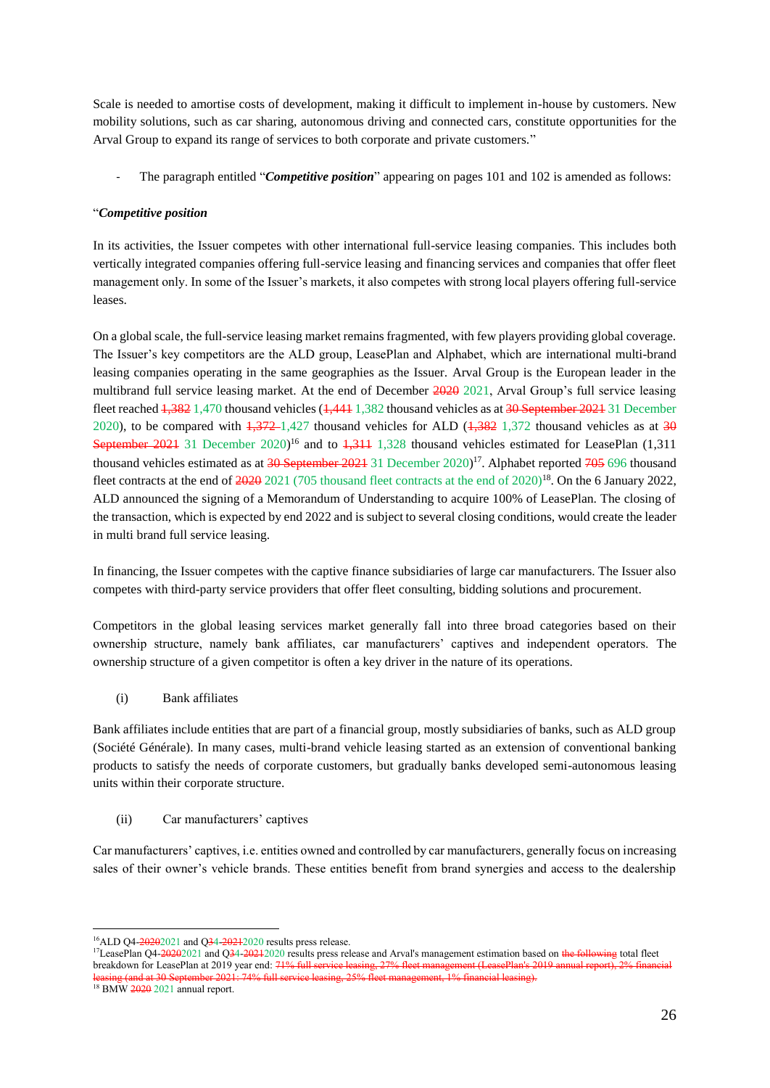Scale is needed to amortise costs of development, making it difficult to implement in-house by customers. New mobility solutions, such as car sharing, autonomous driving and connected cars, constitute opportunities for the Arval Group to expand its range of services to both corporate and private customers."

- The paragraph entitled "*Competitive position*" appearing on pages 101 and 102 is amended as follows:

## "*Competitive position*

In its activities, the Issuer competes with other international full-service leasing companies. This includes both vertically integrated companies offering full-service leasing and financing services and companies that offer fleet management only. In some of the Issuer's markets, it also competes with strong local players offering full-service leases.

On a global scale, the full-service leasing market remains fragmented, with few players providing global coverage. The Issuer's key competitors are the ALD group, LeasePlan and Alphabet, which are international multi-brand leasing companies operating in the same geographies as the Issuer. Arval Group is the European leader in the multibrand full service leasing market. At the end of December 2020 2021, Arval Group's full service leasing fleet reached 1,382 1,470 thousand vehicles (1,441 1,382 thousand vehicles as at 30 September 2021 31 December 2020), to be compared with  $\frac{1,372-1,427}{4,27}$  thousand vehicles for ALD  $(\frac{1,382}{}^{1,372}$  thousand vehicles as at  $\frac{30}{2}$ September 2021 31 December 2020)<sup>16</sup> and to 1,311 1,328 thousand vehicles estimated for LeasePlan (1,311 thousand vehicles estimated as at  $30$  September 2021 31 December 2020)<sup>17</sup>. Alphabet reported  $705$  696 thousand fleet contracts at the end of  $202021$  (705 thousand fleet contracts at the end of  $20201^{8}$ . On the 6 January 2022, ALD announced the signing of a Memorandum of Understanding to acquire 100% of LeasePlan. The closing of the transaction, which is expected by end 2022 and is subject to several closing conditions, would create the leader in multi brand full service leasing.

In financing, the Issuer competes with the captive finance subsidiaries of large car manufacturers. The Issuer also competes with third-party service providers that offer fleet consulting, bidding solutions and procurement.

Competitors in the global leasing services market generally fall into three broad categories based on their ownership structure, namely bank affiliates, car manufacturers' captives and independent operators. The ownership structure of a given competitor is often a key driver in the nature of its operations.

(i) Bank affiliates

Bank affiliates include entities that are part of a financial group, mostly subsidiaries of banks, such as ALD group (Société Générale). In many cases, multi-brand vehicle leasing started as an extension of conventional banking products to satisfy the needs of corporate customers, but gradually banks developed semi-autonomous leasing units within their corporate structure.

(ii) Car manufacturers' captives

Car manufacturers' captives, i.e. entities owned and controlled by car manufacturers, generally focus on increasing sales of their owner's vehicle brands. These entities benefit from brand synergies and access to the dealership

<sup>&</sup>lt;sup>16</sup>ALD Q4-20202021 and Q34-20212020 results press release.

<sup>&</sup>lt;sup>17</sup>LeasePlan Q4-20202021 and Q34-20212020 results press release and Arval's management estimation based on the following total fleet breakdown for LeasePlan at 2019 year end:  $71\%$ leasing (and at 30 September 2021: 74% full service leasing, 25% fleet management, 1% financial leasing).

<sup>&</sup>lt;sup>18</sup> BMW 2020 2021 annual report.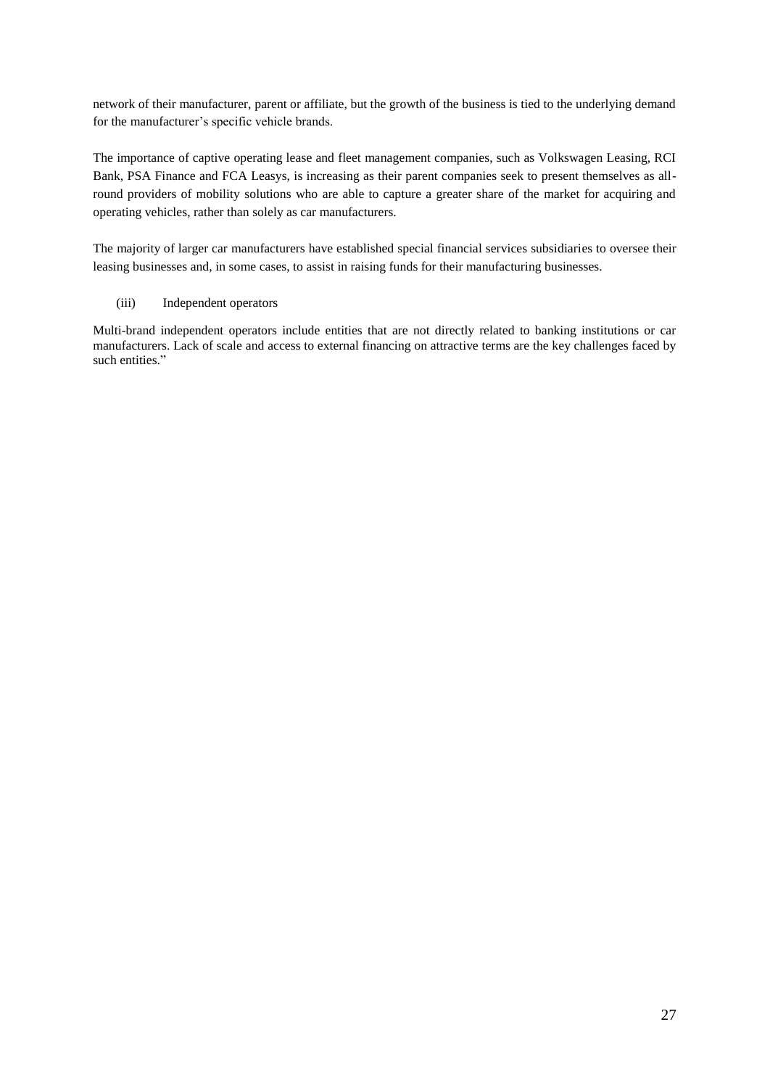network of their manufacturer, parent or affiliate, but the growth of the business is tied to the underlying demand for the manufacturer's specific vehicle brands.

The importance of captive operating lease and fleet management companies, such as Volkswagen Leasing, RCI Bank, PSA Finance and FCA Leasys, is increasing as their parent companies seek to present themselves as allround providers of mobility solutions who are able to capture a greater share of the market for acquiring and operating vehicles, rather than solely as car manufacturers.

The majority of larger car manufacturers have established special financial services subsidiaries to oversee their leasing businesses and, in some cases, to assist in raising funds for their manufacturing businesses.

## (iii) Independent operators

Multi-brand independent operators include entities that are not directly related to banking institutions or car manufacturers. Lack of scale and access to external financing on attractive terms are the key challenges faced by such entities."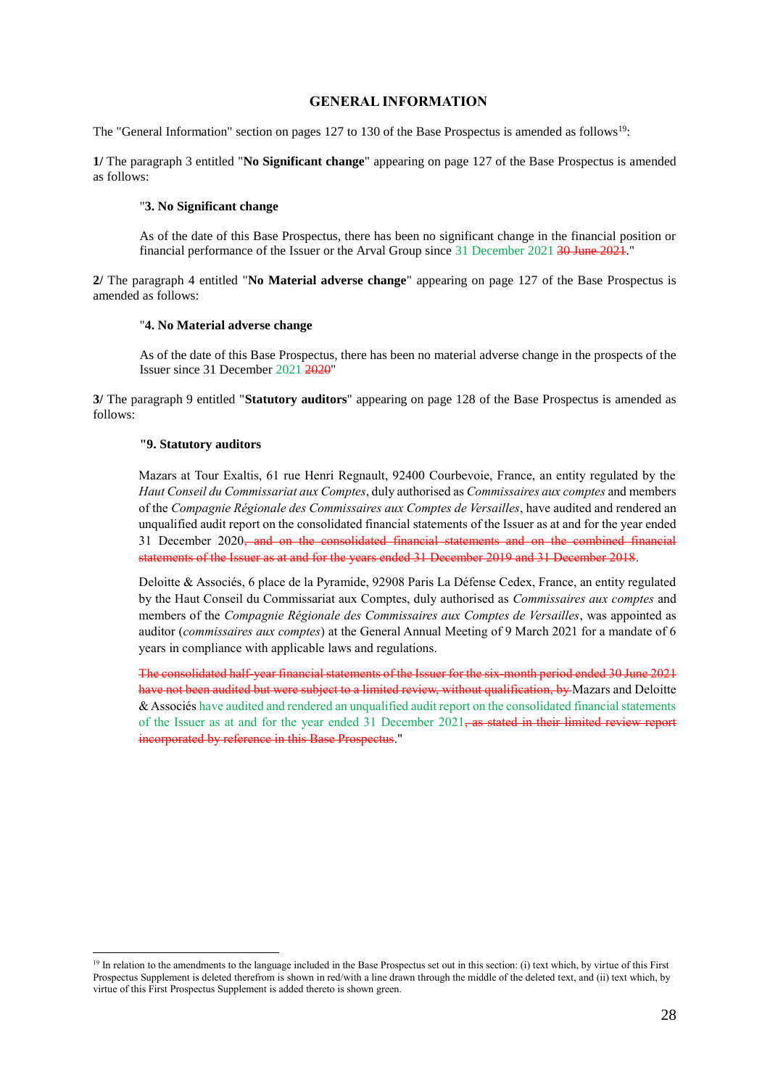### **GENERAL INFORMATION**

<span id="page-27-0"></span>The "General Information" section on pages 127 to 130 of the Base Prospectus is amended as follows<sup>19</sup>:

**1/** The paragraph 3 entitled "**No Significant change**" appearing on page 127 of the Base Prospectus is amended as follows:

### "**3. No Significant change**

As of the date of this Base Prospectus, there has been no significant change in the financial position or financial performance of the Issuer or the Arval Group since 31 December 2021 <del>30 June 2021</del>."

**2/** The paragraph 4 entitled "**No Material adverse change**" appearing on page 127 of the Base Prospectus is amended as follows:

#### "**4. No Material adverse change**

As of the date of this Base Prospectus, there has been no material adverse change in the prospects of the Issuer since 31 December 2021 2020"

**3/** The paragraph 9 entitled "**Statutory auditors**" appearing on page 128 of the Base Prospectus is amended as follows:

#### **"9. Statutory auditors**

1

Mazars at Tour Exaltis, 61 rue Henri Regnault, 92400 Courbevoie, France, an entity regulated by the *Haut Conseil du Commissariat aux Comptes*, duly authorised as *Commissaires aux comptes* and members of the *Compagnie Régionale des Commissaires aux Comptes de Versailles*, have audited and rendered an unqualified audit report on the consolidated financial statements of the Issuer as at and for the year ended 31 December 2020<del>, and on the consolidated financial statements and on the combined financial</del> statements of the Issuer as at and for the years ended 31 December 2019 and 31 December 2018.

Deloitte & Associés, 6 place de la Pyramide, 92908 Paris La Défense Cedex, France, an entity regulated by the Haut Conseil du Commissariat aux Comptes, duly authorised as *Commissaires aux comptes* and members of the *Compagnie Régionale des Commissaires aux Comptes de Versailles*, was appointed as auditor (*commissaires aux comptes*) at the General Annual Meeting of 9 March 2021 for a mandate of 6 years in compliance with applicable laws and regulations.

The consolidated half-year financial statements of the Issuer for the six-month period ended 30 June 2021 have not been audited but were subject to a limited review, without qualification, by Mazars and Deloitte & Associés have audited and rendered an unqualified audit report on the consolidated financial statements of the Issuer as at and for the year ended 31 December 2021, as stated in their limited review report incorporated by reference in this Base Prospectus."

<sup>&</sup>lt;sup>19</sup> In relation to the amendments to the language included in the Base Prospectus set out in this section: (i) text which, by virtue of this First Prospectus Supplement is deleted therefrom is shown in red/with a line drawn through the middle of the deleted text, and (ii) text which, by virtue of this First Prospectus Supplement is added thereto is shown green.